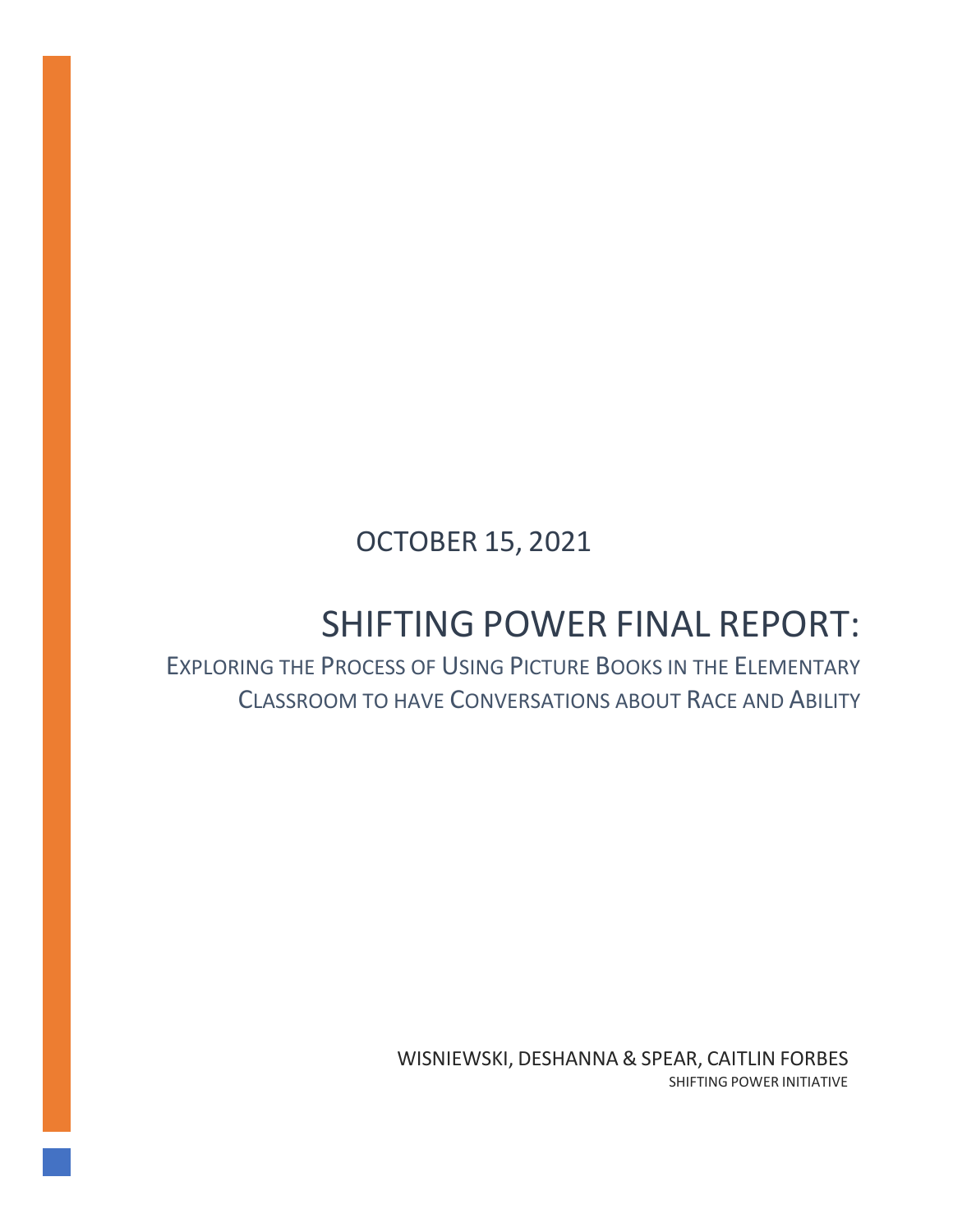# OCTOBER 15, 2021

# SHIFTING POWER FINAL REPORT:

# EXPLORING THE PROCESS OF USING PICTURE BOOKS IN THE ELEMENTARY CLASSROOM TO HAVE CONVERSATIONS ABOUT RACE AND ABILITY

WISNIEWSKI, DESHANNA & SPEAR, CAITLIN FORBES SHIFTING POWER INITIATIVE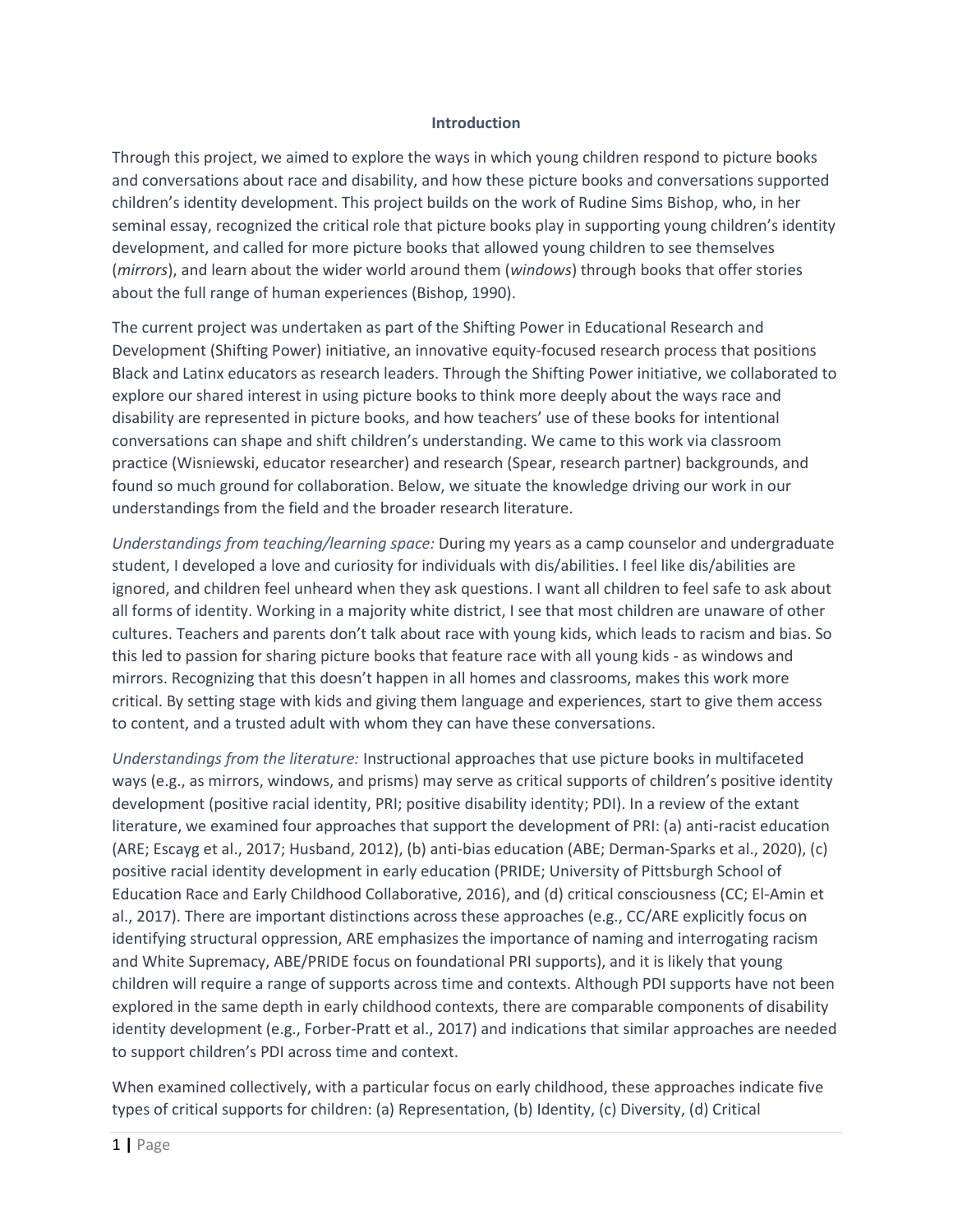#### **Introduction**

Through this project, we aimed to explore the ways in which young children respond to picture books and conversations about race and disability, and how these picture books and conversations supported children's identity development. This project builds on the work of Rudine Sims Bishop, who, in her seminal essay, recognized the critical role that picture books play in supporting young children's identity development, and called for more picture books that allowed young children to see themselves (*mirrors*), and learn about the wider world around them (*windows*) through books that offer stories about the full range of human experiences (Bishop, 1990).

The current project was undertaken as part of the Shifting Power in Educational Research and Development (Shifting Power) initiative, an innovative equity-focused research process that positions Black and Latinx educators as research leaders. Through the Shifting Power initiative, we collaborated to explore our shared interest in using picture books to think more deeply about the ways race and disability are represented in picture books, and how teachers' use of these books for intentional conversations can shape and shift children's understanding. We came to this work via classroom practice (Wisniewski, educator researcher) and research (Spear, research partner) backgrounds, and found so much ground for collaboration. Below, we situate the knowledge driving our work in our understandings from the field and the broader research literature.

*Understandings from teaching/learning space:* During my years as a camp counselor and undergraduate student, I developed a love and curiosity for individuals with dis/abilities. I feel like dis/abilities are ignored, and children feel unheard when they ask questions. I want all children to feel safe to ask about all forms of identity. Working in a majority white district, I see that most children are unaware of other cultures. Teachers and parents don't talk about race with young kids, which leads to racism and bias. So this led to passion for sharing picture books that feature race with all young kids - as windows and mirrors. Recognizing that this doesn't happen in all homes and classrooms, makes this work more critical. By setting stage with kids and giving them language and experiences, start to give them access to content, and a trusted adult with whom they can have these conversations.

*Understandings from the literature:* Instructional approaches that use picture books in multifaceted ways (e.g., as mirrors, windows, and prisms) may serve as critical supports of children's positive identity development (positive racial identity, PRI; positive disability identity; PDI). In a review of the extant literature, we examined four approaches that support the development of PRI: (a) anti-racist education (ARE; Escayg et al., 2017; Husband, 2012), (b) anti-bias education (ABE; Derman-Sparks et al., 2020), (c) positive racial identity development in early education (PRIDE; University of Pittsburgh School of Education Race and Early Childhood Collaborative, 2016), and (d) critical consciousness (CC; El-Amin et al., 2017). There are important distinctions across these approaches (e.g., CC/ARE explicitly focus on identifying structural oppression, ARE emphasizes the importance of naming and interrogating racism and White Supremacy, ABE/PRIDE focus on foundational PRI supports), and it is likely that young children will require a range of supports across time and contexts. Although PDI supports have not been explored in the same depth in early childhood contexts, there are comparable components of disability identity development (e.g., Forber-Pratt et al., 2017) and indications that similar approaches are needed to support children's PDI across time and context.

When examined collectively, with a particular focus on early childhood, these approaches indicate five types of critical supports for children: (a) Representation, (b) Identity, (c) Diversity, (d) Critical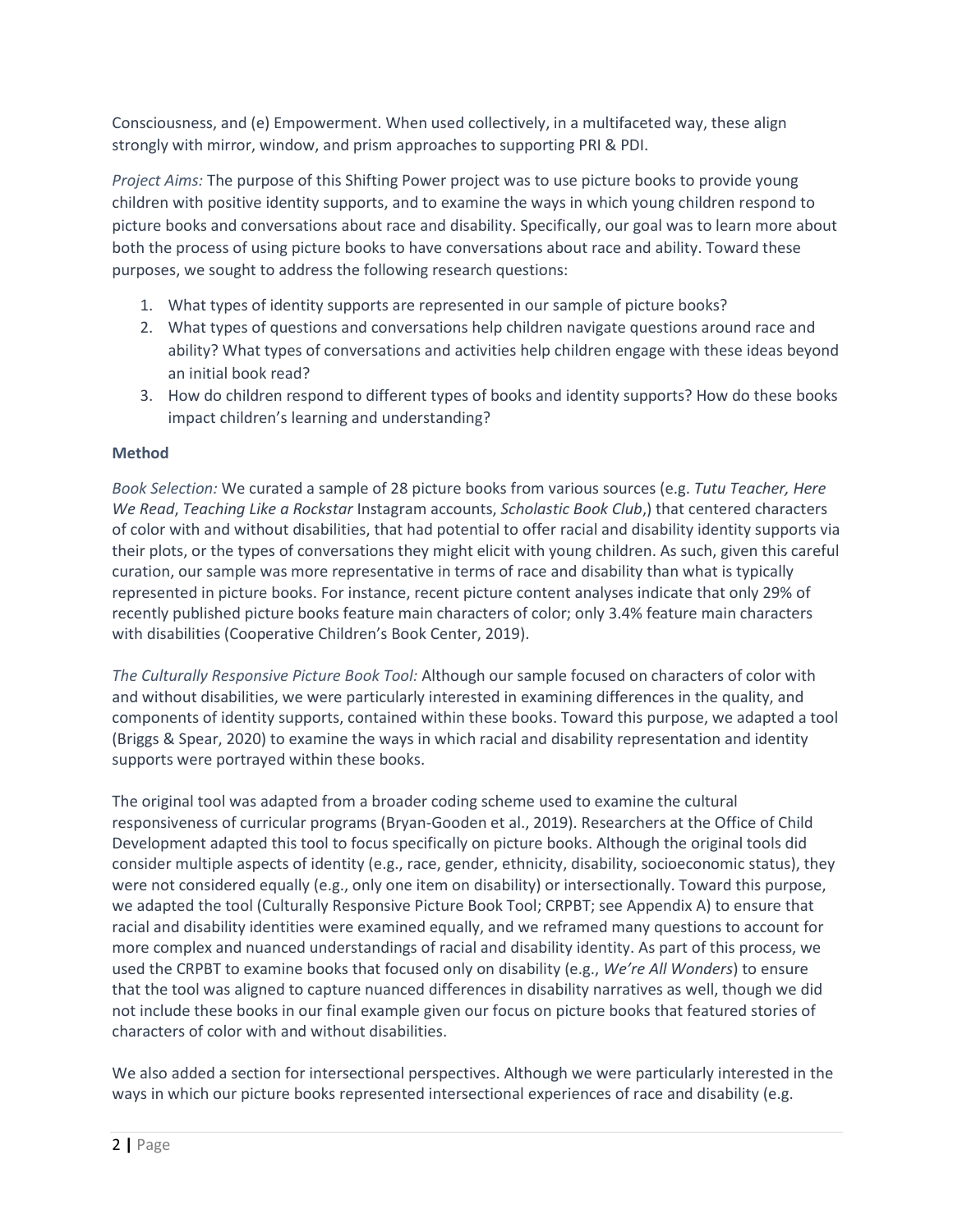Consciousness, and (e) Empowerment. When used collectively, in a multifaceted way, these align strongly with mirror, window, and prism approaches to supporting PRI & PDI.

*Project Aims:* The purpose of this Shifting Power project was to use picture books to provide young children with positive identity supports, and to examine the ways in which young children respond to picture books and conversations about race and disability. Specifically, our goal was to learn more about both the process of using picture books to have conversations about race and ability. Toward these purposes, we sought to address the following research questions:

- 1. What types of identity supports are represented in our sample of picture books?
- 2. What types of questions and conversations help children navigate questions around race and ability? What types of conversations and activities help children engage with these ideas beyond an initial book read?
- 3. How do children respond to different types of books and identity supports? How do these books impact children's learning and understanding?

#### **Method**

*Book Selection:* We curated a sample of 28 picture books from various sources (e.g. *Tutu Teacher, Here We Read*, *Teaching Like a Rockstar* Instagram accounts, *Scholastic Book Club*,) that centered characters of color with and without disabilities, that had potential to offer racial and disability identity supports via their plots, or the types of conversations they might elicit with young children. As such, given this careful curation, our sample was more representative in terms of race and disability than what is typically represented in picture books. For instance, recent picture content analyses indicate that only 29% of recently published picture books feature main characters of color; only 3.4% feature main characters with disabilities (Cooperative Children's Book Center, 2019).

*The Culturally Responsive Picture Book Tool:* Although our sample focused on characters of color with and without disabilities, we were particularly interested in examining differences in the quality, and components of identity supports, contained within these books. Toward this purpose, we adapted a tool (Briggs & Spear, 2020) to examine the ways in which racial and disability representation and identity supports were portrayed within these books.

The original tool was adapted from a broader coding scheme used to examine the cultural responsiveness of curricular programs (Bryan-Gooden et al., 2019). Researchers at the Office of Child Development adapted this tool to focus specifically on picture books. Although the original tools did consider multiple aspects of identity (e.g., race, gender, ethnicity, disability, socioeconomic status), they were not considered equally (e.g., only one item on disability) or intersectionally. Toward this purpose, we adapted the tool (Culturally Responsive Picture Book Tool; CRPBT; see Appendix A) to ensure that racial and disability identities were examined equally, and we reframed many questions to account for more complex and nuanced understandings of racial and disability identity. As part of this process, we used the CRPBT to examine books that focused only on disability (e.g., *We're All Wonders*) to ensure that the tool was aligned to capture nuanced differences in disability narratives as well, though we did not include these books in our final example given our focus on picture books that featured stories of characters of color with and without disabilities.

We also added a section for intersectional perspectives. Although we were particularly interested in the ways in which our picture books represented intersectional experiences of race and disability (e.g.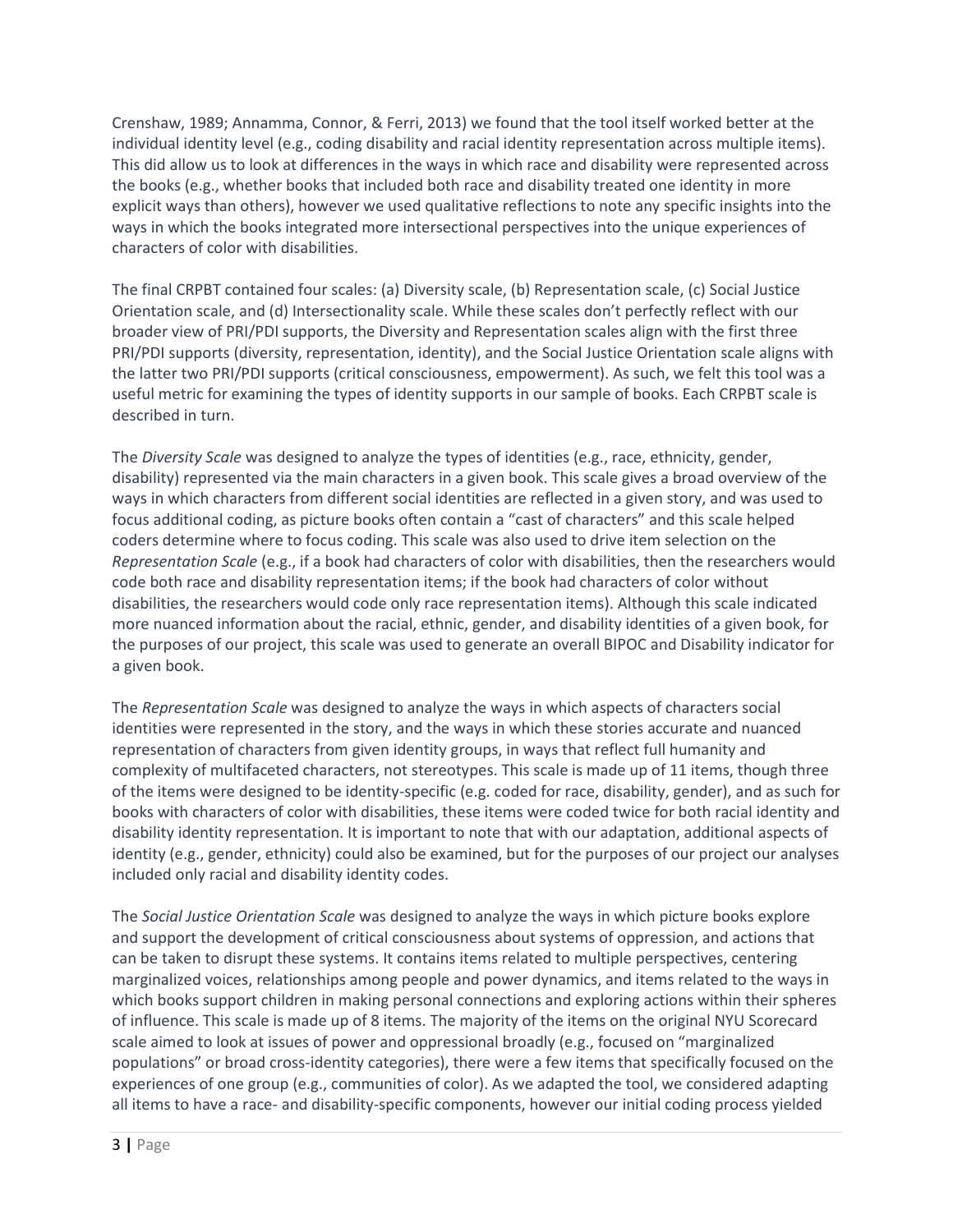Crenshaw, 1989; Annamma, Connor, & Ferri, 2013) we found that the tool itself worked better at the individual identity level (e.g., coding disability and racial identity representation across multiple items). This did allow us to look at differences in the ways in which race and disability were represented across the books (e.g., whether books that included both race and disability treated one identity in more explicit ways than others), however we used qualitative reflections to note any specific insights into the ways in which the books integrated more intersectional perspectives into the unique experiences of characters of color with disabilities.

The final CRPBT contained four scales: (a) Diversity scale, (b) Representation scale, (c) Social Justice Orientation scale, and (d) Intersectionality scale. While these scales don't perfectly reflect with our broader view of PRI/PDI supports, the Diversity and Representation scales align with the first three PRI/PDI supports (diversity, representation, identity), and the Social Justice Orientation scale aligns with the latter two PRI/PDI supports (critical consciousness, empowerment). As such, we felt this tool was a useful metric for examining the types of identity supports in our sample of books. Each CRPBT scale is described in turn.

The *Diversity Scale* was designed to analyze the types of identities (e.g., race, ethnicity, gender, disability) represented via the main characters in a given book. This scale gives a broad overview of the ways in which characters from different social identities are reflected in a given story, and was used to focus additional coding, as picture books often contain a "cast of characters" and this scale helped coders determine where to focus coding. This scale was also used to drive item selection on the *Representation Scale* (e.g., if a book had characters of color with disabilities, then the researchers would code both race and disability representation items; if the book had characters of color without disabilities, the researchers would code only race representation items). Although this scale indicated more nuanced information about the racial, ethnic, gender, and disability identities of a given book, for the purposes of our project, this scale was used to generate an overall BIPOC and Disability indicator for a given book.

The *Representation Scale* was designed to analyze the ways in which aspects of characters social identities were represented in the story, and the ways in which these stories accurate and nuanced representation of characters from given identity groups, in ways that reflect full humanity and complexity of multifaceted characters, not stereotypes. This scale is made up of 11 items, though three of the items were designed to be identity-specific (e.g. coded for race, disability, gender), and as such for books with characters of color with disabilities, these items were coded twice for both racial identity and disability identity representation. It is important to note that with our adaptation, additional aspects of identity (e.g., gender, ethnicity) could also be examined, but for the purposes of our project our analyses included only racial and disability identity codes.

The *Social Justice Orientation Scale* was designed to analyze the ways in which picture books explore and support the development of critical consciousness about systems of oppression, and actions that can be taken to disrupt these systems. It contains items related to multiple perspectives, centering marginalized voices, relationships among people and power dynamics, and items related to the ways in which books support children in making personal connections and exploring actions within their spheres of influence. This scale is made up of 8 items. The majority of the items on the original NYU Scorecard scale aimed to look at issues of power and oppressional broadly (e.g., focused on "marginalized populations" or broad cross-identity categories), there were a few items that specifically focused on the experiences of one group (e.g., communities of color). As we adapted the tool, we considered adapting all items to have a race- and disability-specific components, however our initial coding process yielded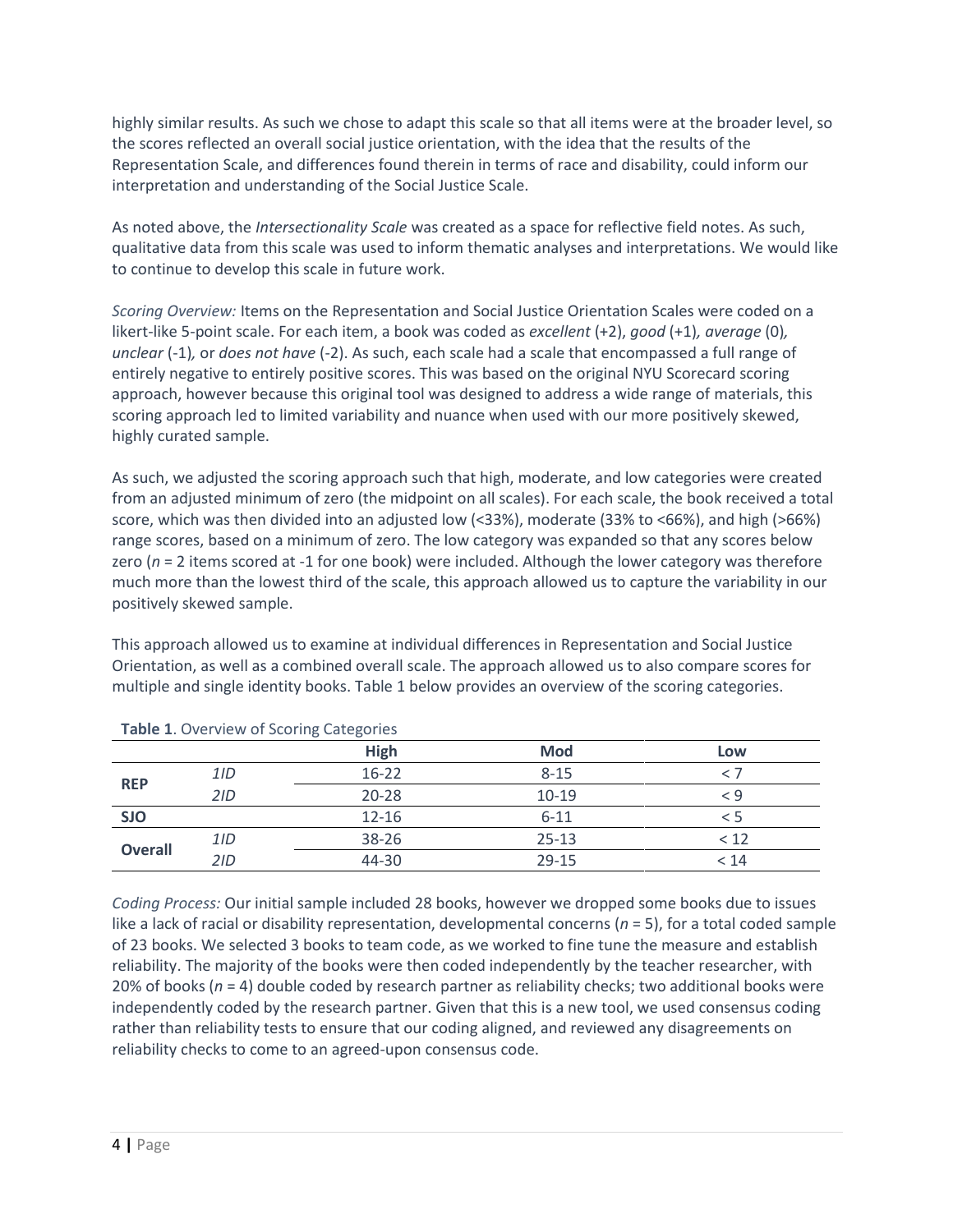highly similar results. As such we chose to adapt this scale so that all items were at the broader level, so the scores reflected an overall social justice orientation, with the idea that the results of the Representation Scale, and differences found therein in terms of race and disability, could inform our interpretation and understanding of the Social Justice Scale.

As noted above, the *Intersectionality Scale* was created as a space for reflective field notes. As such, qualitative data from this scale was used to inform thematic analyses and interpretations. We would like to continue to develop this scale in future work.

*Scoring Overview:* Items on the Representation and Social Justice Orientation Scales were coded on a likert-like 5-point scale. For each item, a book was coded as *excellent* (+2), *good* (+1)*, average* (0)*, unclear* (-1)*,* or *does not have* (-2). As such, each scale had a scale that encompassed a full range of entirely negative to entirely positive scores. This was based on the original NYU Scorecard scoring approach, however because this original tool was designed to address a wide range of materials, this scoring approach led to limited variability and nuance when used with our more positively skewed, highly curated sample.

As such, we adjusted the scoring approach such that high, moderate, and low categories were created from an adjusted minimum of zero (the midpoint on all scales). For each scale, the book received a total score, which was then divided into an adjusted low (<33%), moderate (33% to <66%), and high (>66%) range scores, based on a minimum of zero. The low category was expanded so that any scores below zero (*n* = 2 items scored at -1 for one book) were included. Although the lower category was therefore much more than the lowest third of the scale, this approach allowed us to capture the variability in our positively skewed sample.

This approach allowed us to examine at individual differences in Representation and Social Justice Orientation, as well as a combined overall scale. The approach allowed us to also compare scores for multiple and single identity books. Table 1 below provides an overview of the scoring categories.

|                |     | ີ<br>$\tilde{\phantom{a}}$ |            |          |
|----------------|-----|----------------------------|------------|----------|
|                |     | <b>High</b>                | <b>Mod</b> | Low      |
| <b>REP</b>     | 1/D | $16 - 22$                  | $8 - 15$   |          |
|                | 2ID | $20 - 28$                  | $10-19$    | $\leq 9$ |
| <b>SJO</b>     |     | $12 - 16$                  | $6 - 11$   | כ >      |
|                | 1/D | 38-26                      | $25 - 13$  | < 12     |
| <b>Overall</b> | 2ID | 44-30                      | $29 - 15$  | < 14     |

**Table 1**. Overview of Scoring Categories

*Coding Process:* Our initial sample included 28 books, however we dropped some books due to issues like a lack of racial or disability representation, developmental concerns (*n* = 5), for a total coded sample of 23 books. We selected 3 books to team code, as we worked to fine tune the measure and establish reliability. The majority of the books were then coded independently by the teacher researcher, with 20% of books (*n* = 4) double coded by research partner as reliability checks; two additional books were independently coded by the research partner. Given that this is a new tool, we used consensus coding rather than reliability tests to ensure that our coding aligned, and reviewed any disagreements on reliability checks to come to an agreed-upon consensus code.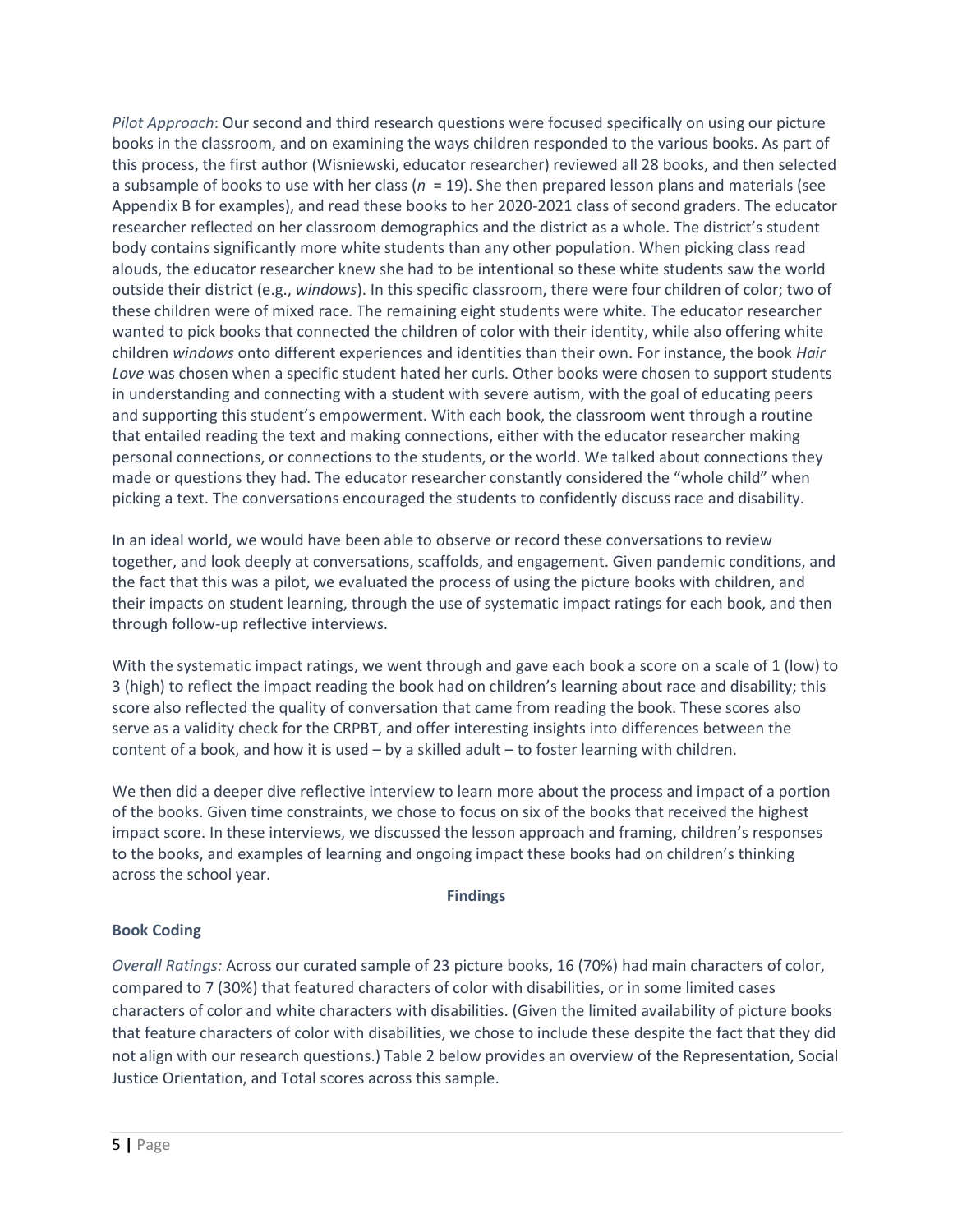*Pilot Approach*: Our second and third research questions were focused specifically on using our picture books in the classroom, and on examining the ways children responded to the various books. As part of this process, the first author (Wisniewski, educator researcher) reviewed all 28 books, and then selected a subsample of books to use with her class (*n* = 19). She then prepared lesson plans and materials (see Appendix B for examples), and read these books to her 2020-2021 class of second graders. The educator researcher reflected on her classroom demographics and the district as a whole. The district's student body contains significantly more white students than any other population. When picking class read alouds, the educator researcher knew she had to be intentional so these white students saw the world outside their district (e.g., *windows*). In this specific classroom, there were four children of color; two of these children were of mixed race. The remaining eight students were white. The educator researcher wanted to pick books that connected the children of color with their identity, while also offering white children *windows* onto different experiences and identities than their own. For instance, the book *Hair Love* was chosen when a specific student hated her curls. Other books were chosen to support students in understanding and connecting with a student with severe autism, with the goal of educating peers and supporting this student's empowerment. With each book, the classroom went through a routine that entailed reading the text and making connections, either with the educator researcher making personal connections, or connections to the students, or the world. We talked about connections they made or questions they had. The educator researcher constantly considered the "whole child" when picking a text. The conversations encouraged the students to confidently discuss race and disability.

In an ideal world, we would have been able to observe or record these conversations to review together, and look deeply at conversations, scaffolds, and engagement. Given pandemic conditions, and the fact that this was a pilot, we evaluated the process of using the picture books with children, and their impacts on student learning, through the use of systematic impact ratings for each book, and then through follow-up reflective interviews.

With the systematic impact ratings, we went through and gave each book a score on a scale of 1 (low) to 3 (high) to reflect the impact reading the book had on children's learning about race and disability; this score also reflected the quality of conversation that came from reading the book. These scores also serve as a validity check for the CRPBT, and offer interesting insights into differences between the content of a book, and how it is used – by a skilled adult – to foster learning with children.

We then did a deeper dive reflective interview to learn more about the process and impact of a portion of the books. Given time constraints, we chose to focus on six of the books that received the highest impact score. In these interviews, we discussed the lesson approach and framing, children's responses to the books, and examples of learning and ongoing impact these books had on children's thinking across the school year.

#### **Findings**

#### **Book Coding**

*Overall Ratings:* Across our curated sample of 23 picture books, 16 (70%) had main characters of color, compared to 7 (30%) that featured characters of color with disabilities, or in some limited cases characters of color and white characters with disabilities. (Given the limited availability of picture books that feature characters of color with disabilities, we chose to include these despite the fact that they did not align with our research questions.) Table 2 below provides an overview of the Representation, Social Justice Orientation, and Total scores across this sample.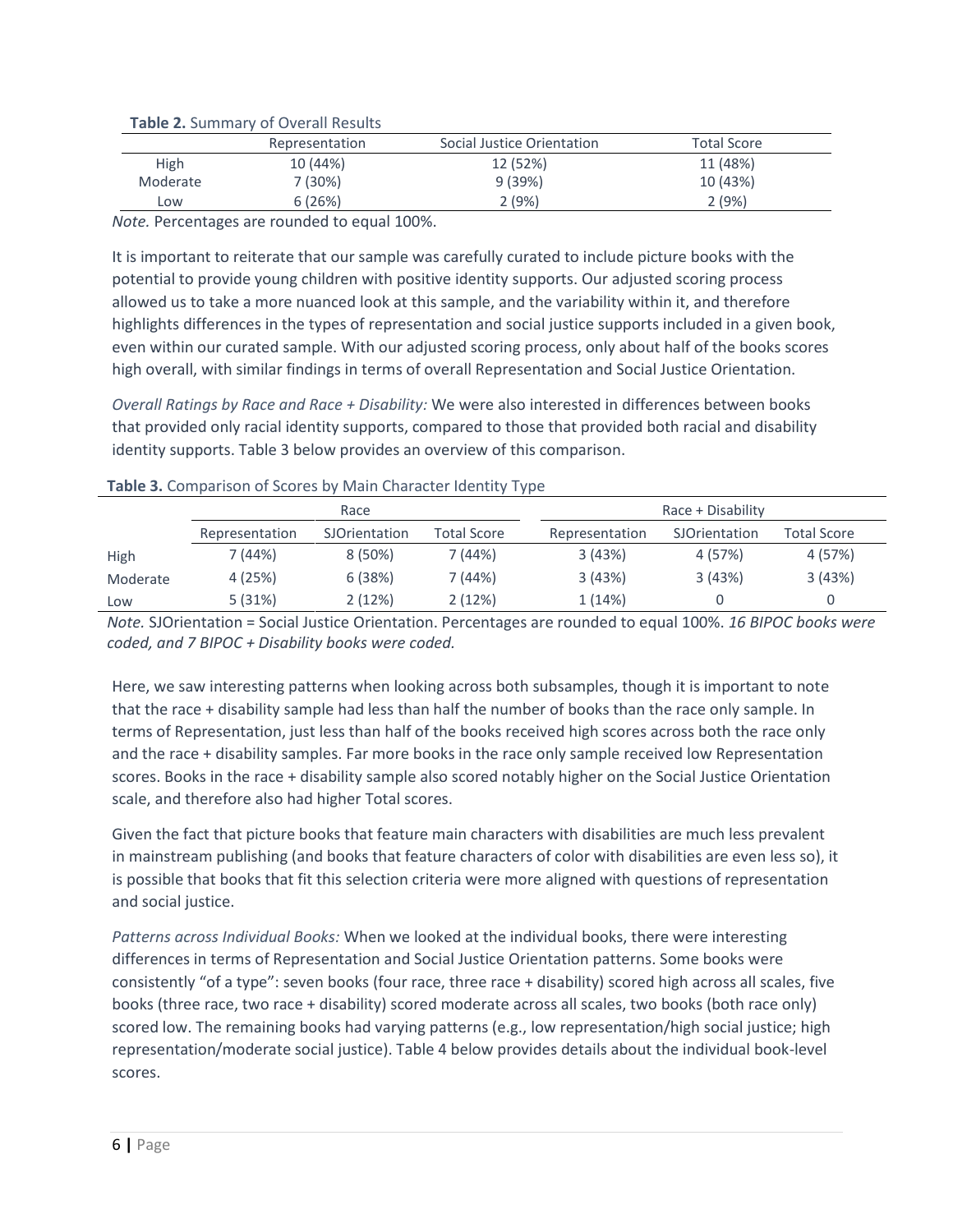|          | Representation | Social Justice Orientation | <b>Total Score</b> |  |  |  |  |
|----------|----------------|----------------------------|--------------------|--|--|--|--|
| High     | 10 (44%)       | 12 (52%)                   | 11 (48%)           |  |  |  |  |
| Moderate | 7 (30%)        | 9(39%)                     | 10 (43%)           |  |  |  |  |
| Low      | 6(26%)         | 2(9%)                      | 2(9%)              |  |  |  |  |

**Table 2.** Summary of Overall Results

*Note.* Percentages are rounded to equal 100%.

It is important to reiterate that our sample was carefully curated to include picture books with the potential to provide young children with positive identity supports. Our adjusted scoring process allowed us to take a more nuanced look at this sample, and the variability within it, and therefore highlights differences in the types of representation and social justice supports included in a given book, even within our curated sample. With our adjusted scoring process, only about half of the books scores high overall, with similar findings in terms of overall Representation and Social Justice Orientation.

*Overall Ratings by Race and Race + Disability:* We were also interested in differences between books that provided only racial identity supports, compared to those that provided both racial and disability identity supports. Table 3 below provides an overview of this comparison.

|          |                                                       | Race      |                | Race + Disability |             |         |  |  |
|----------|-------------------------------------------------------|-----------|----------------|-------------------|-------------|---------|--|--|
|          | Total Score<br>Representation<br><b>SJOrientation</b> |           | Representation | SJOrientation     | Total Score |         |  |  |
| High     | 7 (44%)                                               | $8(50\%)$ | 7 (44%)        | 3(43%)            | 4 (57%)     | 4 (57%) |  |  |
| Moderate | 4(25%)                                                | 6(38%)    | 7 (44%)        | 3(43%)            | 3(43%)      | 3(43%)  |  |  |
| Low      | 5(31%)                                                | 2(12%)    | 2(12%)         | 1(14%)            |             |         |  |  |

#### **Table 3.** Comparison of Scores by Main Character Identity Type

*Note.* SJOrientation = Social Justice Orientation. Percentages are rounded to equal 100%. *16 BIPOC books were coded, and 7 BIPOC + Disability books were coded.* 

Here, we saw interesting patterns when looking across both subsamples, though it is important to note that the race + disability sample had less than half the number of books than the race only sample. In terms of Representation, just less than half of the books received high scores across both the race only and the race + disability samples. Far more books in the race only sample received low Representation scores. Books in the race + disability sample also scored notably higher on the Social Justice Orientation scale, and therefore also had higher Total scores.

Given the fact that picture books that feature main characters with disabilities are much less prevalent in mainstream publishing (and books that feature characters of color with disabilities are even less so), it is possible that books that fit this selection criteria were more aligned with questions of representation and social justice.

*Patterns across Individual Books:* When we looked at the individual books, there were interesting differences in terms of Representation and Social Justice Orientation patterns. Some books were consistently "of a type": seven books (four race, three race + disability) scored high across all scales, five books (three race, two race + disability) scored moderate across all scales, two books (both race only) scored low. The remaining books had varying patterns (e.g., low representation/high social justice; high representation/moderate social justice). Table 4 below provides details about the individual book-level scores.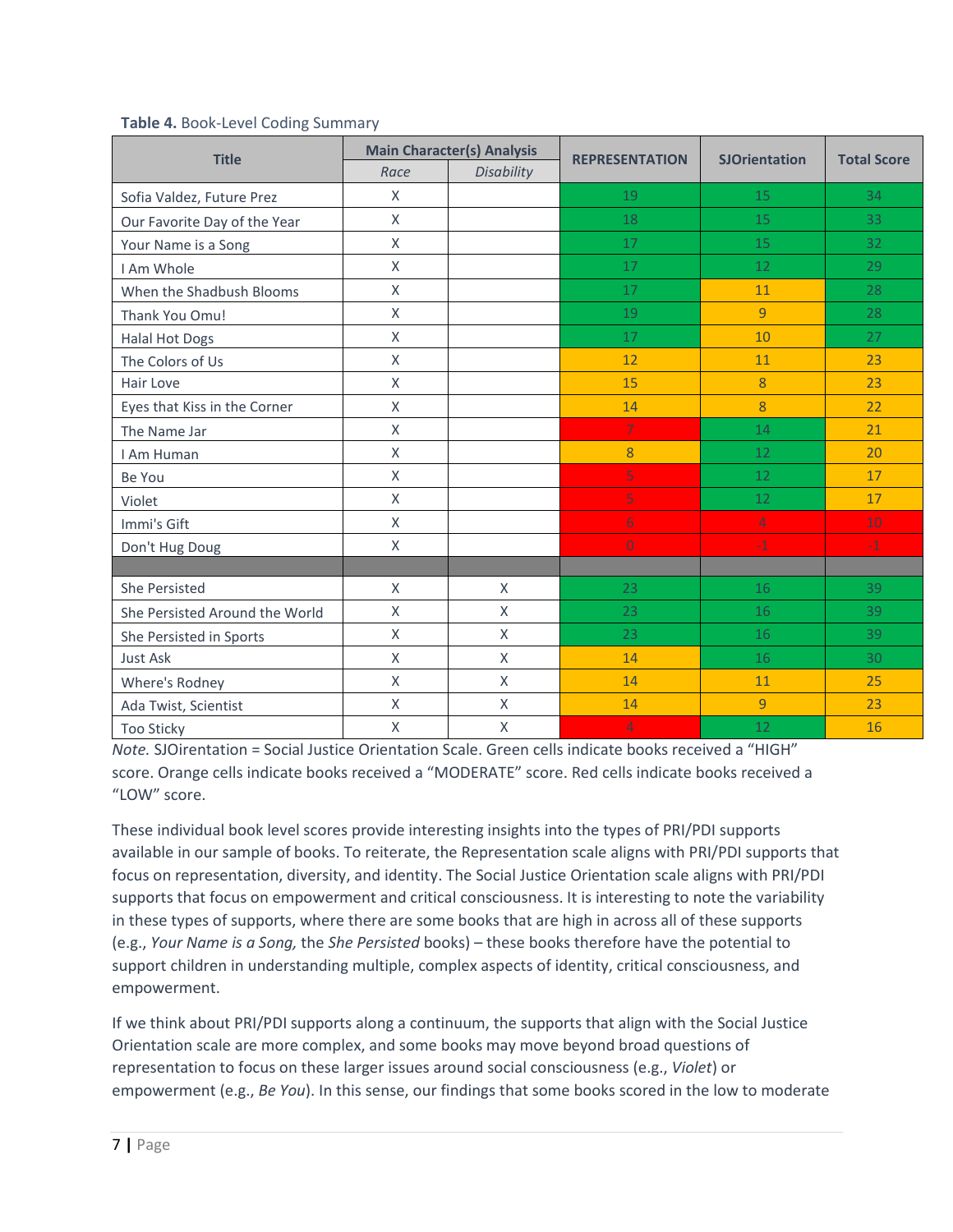|                                | <b>Main Character(s) Analysis</b> |              |                       |                      |                    |  |
|--------------------------------|-----------------------------------|--------------|-----------------------|----------------------|--------------------|--|
| <b>Title</b>                   | Race                              | Disability   | <b>REPRESENTATION</b> | <b>SJOrientation</b> | <b>Total Score</b> |  |
| Sofia Valdez, Future Prez      | X                                 |              | 19                    | 15                   | 34                 |  |
| Our Favorite Day of the Year   | X                                 |              | 18                    | 15                   | 33                 |  |
| Your Name is a Song            | X                                 |              | 17                    | 15                   | 32                 |  |
| I Am Whole                     | X                                 |              | 17                    | 12                   | 29                 |  |
| When the Shadbush Blooms       | X                                 |              | 17                    | 11                   | 28                 |  |
| Thank You Omu!                 | X                                 |              | 19                    | $\overline{9}$       | 28                 |  |
| <b>Halal Hot Dogs</b>          | X                                 |              | 17                    | 10                   | 27                 |  |
| The Colors of Us               | X                                 |              | 12                    | 11                   | 23                 |  |
| Hair Love                      | X                                 |              | 15                    | 8                    | 23                 |  |
| Eyes that Kiss in the Corner   | X                                 |              | 14                    | 8                    | 22                 |  |
| The Name Jar                   | X                                 |              | $\overline{7}$        | 14                   | 21                 |  |
| I Am Human                     | X                                 |              | 8                     | 12                   | 20                 |  |
| Be You                         | X                                 |              | 5                     | 12                   | 17                 |  |
| Violet                         | X                                 |              | 5                     | 12                   | 17                 |  |
| Immi's Gift                    | X                                 |              | $6 \,$                | 4                    | 10                 |  |
| Don't Hug Doug                 | X                                 |              | $\overline{0}$        | $^{\rm -1}$          | $-1$               |  |
|                                |                                   |              |                       |                      |                    |  |
| She Persisted                  | X                                 | X            | 23                    | 16                   | 39                 |  |
| She Persisted Around the World | X                                 | X            | 23                    | 16                   | 39                 |  |
| She Persisted in Sports        | X                                 | X            | 23                    | 16                   | 39                 |  |
| <b>Just Ask</b>                | X                                 | $\mathsf{X}$ | 14                    | 16                   | 30                 |  |
| Where's Rodney                 | X                                 | $\mathsf{X}$ | 14                    | 11                   | 25                 |  |
| Ada Twist, Scientist           | X                                 | X            | 14                    | $\overline{9}$       | 23                 |  |
| <b>Too Sticky</b>              | X                                 | X            | $\overline{4}$        | 12                   | 16                 |  |

#### **Table 4.** Book-Level Coding Summary

*Note.* SJOirentation = Social Justice Orientation Scale. Green cells indicate books received a "HIGH" score. Orange cells indicate books received a "MODERATE" score. Red cells indicate books received a "LOW" score.

These individual book level scores provide interesting insights into the types of PRI/PDI supports available in our sample of books. To reiterate, the Representation scale aligns with PRI/PDI supports that focus on representation, diversity, and identity. The Social Justice Orientation scale aligns with PRI/PDI supports that focus on empowerment and critical consciousness. It is interesting to note the variability in these types of supports, where there are some books that are high in across all of these supports (e.g., *Your Name is a Song,* the *She Persisted* books) – these books therefore have the potential to support children in understanding multiple, complex aspects of identity, critical consciousness, and empowerment.

If we think about PRI/PDI supports along a continuum, the supports that align with the Social Justice Orientation scale are more complex, and some books may move beyond broad questions of representation to focus on these larger issues around social consciousness (e.g., *Violet*) or empowerment (e.g., *Be You*). In this sense, our findings that some books scored in the low to moderate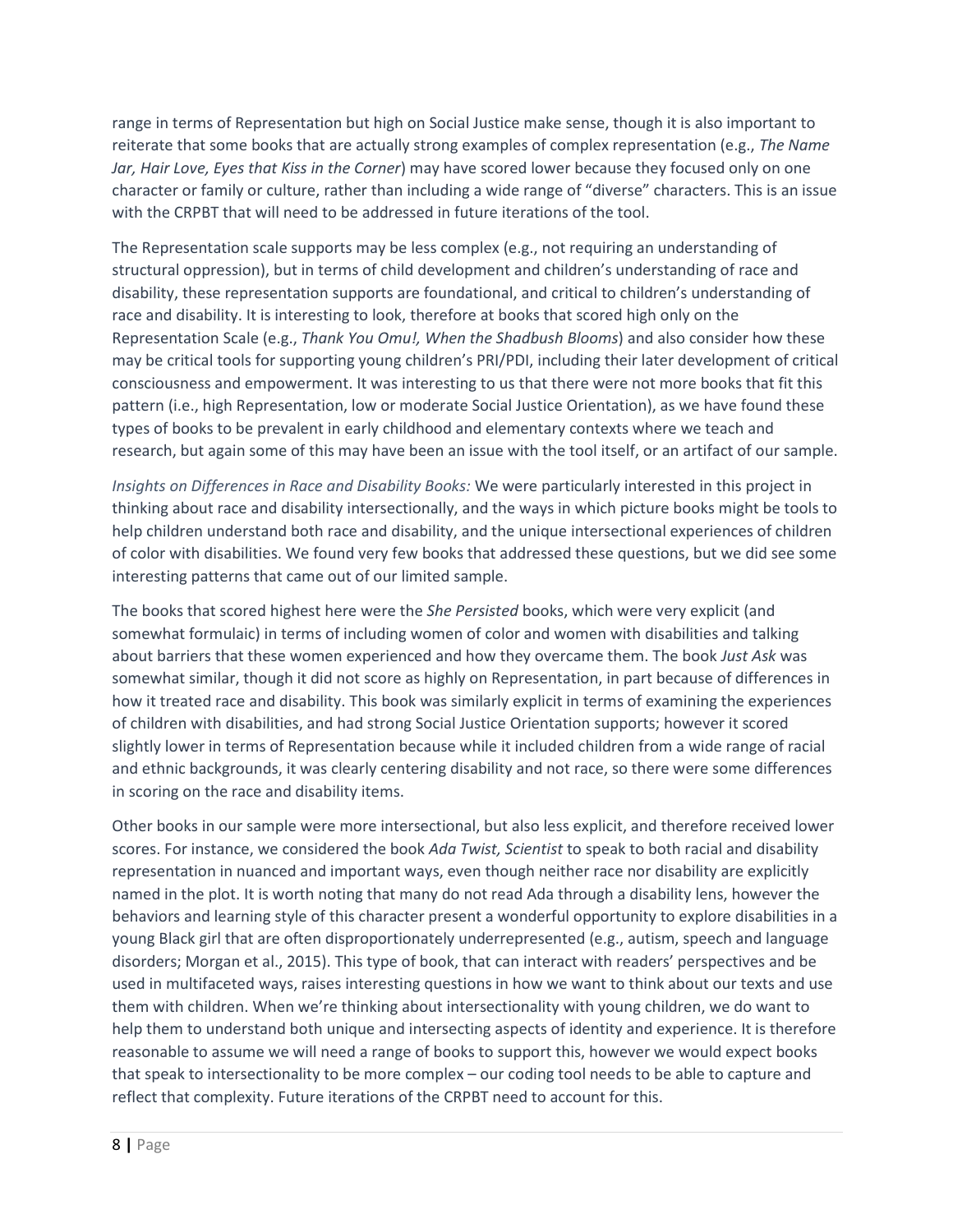range in terms of Representation but high on Social Justice make sense, though it is also important to reiterate that some books that are actually strong examples of complex representation (e.g., *The Name Jar, Hair Love, Eyes that Kiss in the Corner*) may have scored lower because they focused only on one character or family or culture, rather than including a wide range of "diverse" characters. This is an issue with the CRPBT that will need to be addressed in future iterations of the tool.

The Representation scale supports may be less complex (e.g., not requiring an understanding of structural oppression), but in terms of child development and children's understanding of race and disability, these representation supports are foundational, and critical to children's understanding of race and disability. It is interesting to look, therefore at books that scored high only on the Representation Scale (e.g., *Thank You Omu!, When the Shadbush Blooms*) and also consider how these may be critical tools for supporting young children's PRI/PDI, including their later development of critical consciousness and empowerment. It was interesting to us that there were not more books that fit this pattern (i.e., high Representation, low or moderate Social Justice Orientation), as we have found these types of books to be prevalent in early childhood and elementary contexts where we teach and research, but again some of this may have been an issue with the tool itself, or an artifact of our sample.

*Insights on Differences in Race and Disability Books:* We were particularly interested in this project in thinking about race and disability intersectionally, and the ways in which picture books might be tools to help children understand both race and disability, and the unique intersectional experiences of children of color with disabilities. We found very few books that addressed these questions, but we did see some interesting patterns that came out of our limited sample.

The books that scored highest here were the *She Persisted* books, which were very explicit (and somewhat formulaic) in terms of including women of color and women with disabilities and talking about barriers that these women experienced and how they overcame them. The book *Just Ask* was somewhat similar, though it did not score as highly on Representation, in part because of differences in how it treated race and disability. This book was similarly explicit in terms of examining the experiences of children with disabilities, and had strong Social Justice Orientation supports; however it scored slightly lower in terms of Representation because while it included children from a wide range of racial and ethnic backgrounds, it was clearly centering disability and not race, so there were some differences in scoring on the race and disability items.

Other books in our sample were more intersectional, but also less explicit, and therefore received lower scores. For instance, we considered the book *Ada Twist, Scientist* to speak to both racial and disability representation in nuanced and important ways, even though neither race nor disability are explicitly named in the plot. It is worth noting that many do not read Ada through a disability lens, however the behaviors and learning style of this character present a wonderful opportunity to explore disabilities in a young Black girl that are often disproportionately underrepresented (e.g., autism, speech and language disorders; Morgan et al., 2015). This type of book, that can interact with readers' perspectives and be used in multifaceted ways, raises interesting questions in how we want to think about our texts and use them with children. When we're thinking about intersectionality with young children, we do want to help them to understand both unique and intersecting aspects of identity and experience. It is therefore reasonable to assume we will need a range of books to support this, however we would expect books that speak to intersectionality to be more complex – our coding tool needs to be able to capture and reflect that complexity. Future iterations of the CRPBT need to account for this.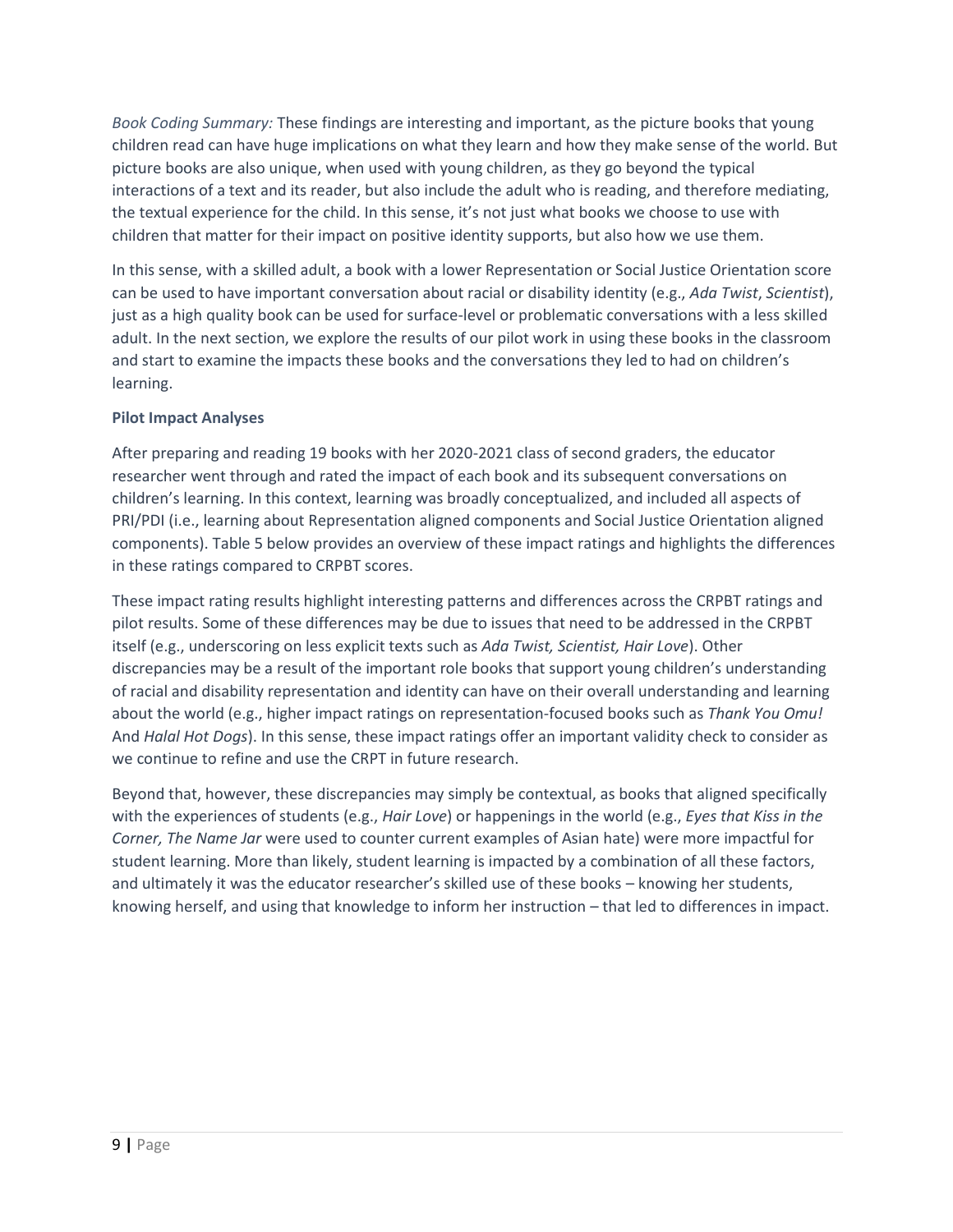*Book Coding Summary:* These findings are interesting and important, as the picture books that young children read can have huge implications on what they learn and how they make sense of the world. But picture books are also unique, when used with young children, as they go beyond the typical interactions of a text and its reader, but also include the adult who is reading, and therefore mediating, the textual experience for the child. In this sense, it's not just what books we choose to use with children that matter for their impact on positive identity supports, but also how we use them.

In this sense, with a skilled adult, a book with a lower Representation or Social Justice Orientation score can be used to have important conversation about racial or disability identity (e.g., *Ada Twist*, *Scientist*), just as a high quality book can be used for surface-level or problematic conversations with a less skilled adult. In the next section, we explore the results of our pilot work in using these books in the classroom and start to examine the impacts these books and the conversations they led to had on children's learning.

#### **Pilot Impact Analyses**

After preparing and reading 19 books with her 2020-2021 class of second graders, the educator researcher went through and rated the impact of each book and its subsequent conversations on children's learning. In this context, learning was broadly conceptualized, and included all aspects of PRI/PDI (i.e., learning about Representation aligned components and Social Justice Orientation aligned components). Table 5 below provides an overview of these impact ratings and highlights the differences in these ratings compared to CRPBT scores.

These impact rating results highlight interesting patterns and differences across the CRPBT ratings and pilot results. Some of these differences may be due to issues that need to be addressed in the CRPBT itself (e.g., underscoring on less explicit texts such as *Ada Twist, Scientist, Hair Love*). Other discrepancies may be a result of the important role books that support young children's understanding of racial and disability representation and identity can have on their overall understanding and learning about the world (e.g., higher impact ratings on representation-focused books such as *Thank You Omu!*  And *Halal Hot Dogs*). In this sense, these impact ratings offer an important validity check to consider as we continue to refine and use the CRPT in future research.

Beyond that, however, these discrepancies may simply be contextual, as books that aligned specifically with the experiences of students (e.g., *Hair Love*) or happenings in the world (e.g., *Eyes that Kiss in the Corner, The Name Jar* were used to counter current examples of Asian hate) were more impactful for student learning. More than likely, student learning is impacted by a combination of all these factors, and ultimately it was the educator researcher's skilled use of these books – knowing her students, knowing herself, and using that knowledge to inform her instruction – that led to differences in impact.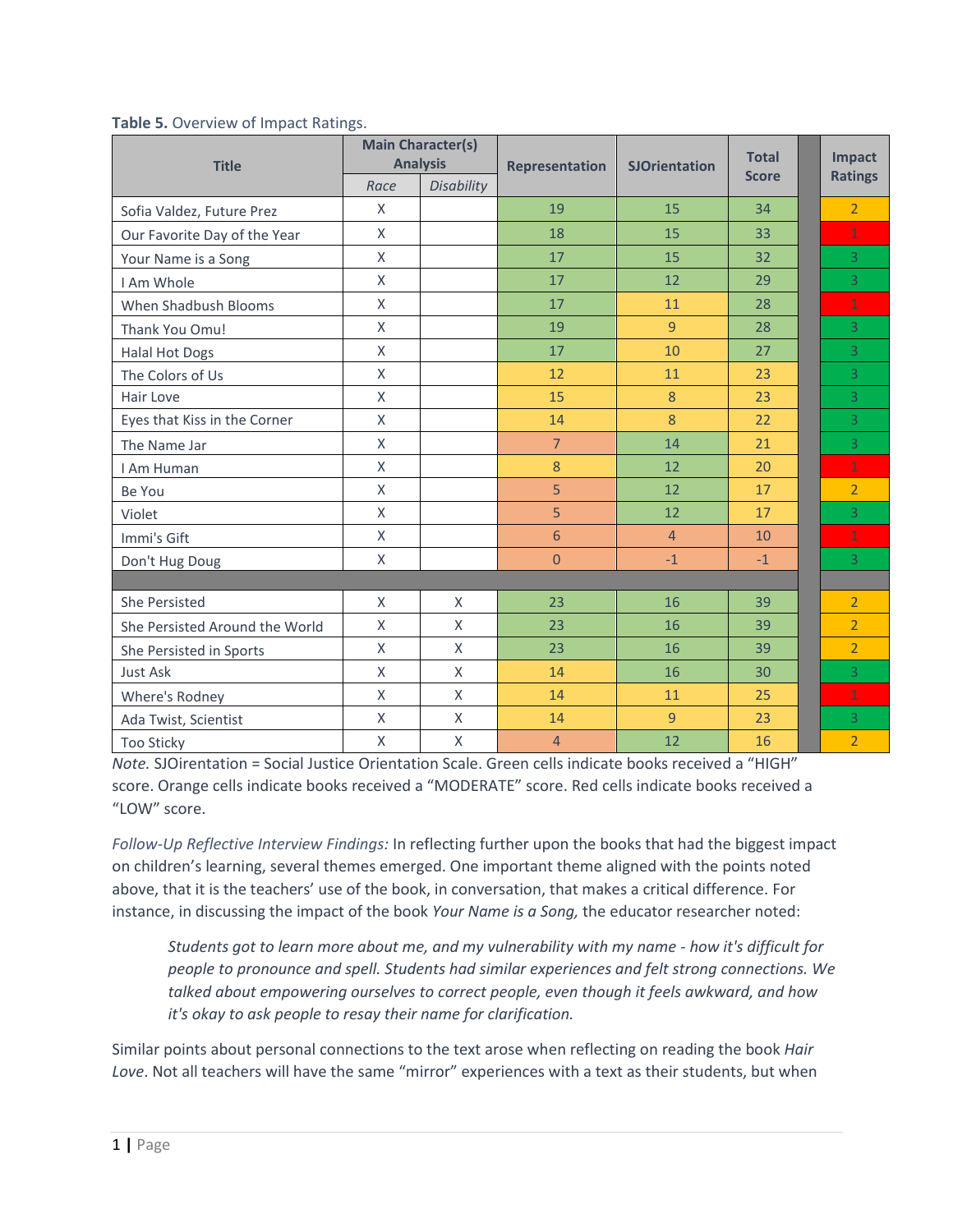| <b>Title</b>                   | <b>Main Character(s)</b><br><b>Analysis</b> |              | <b>Representation</b> | <b>SJOrientation</b> | <b>Total</b><br><b>Score</b> | Impact<br><b>Ratings</b> |
|--------------------------------|---------------------------------------------|--------------|-----------------------|----------------------|------------------------------|--------------------------|
|                                | Race                                        | Disability   |                       |                      |                              |                          |
| Sofia Valdez, Future Prez      | X                                           |              | 19                    | 15                   | 34                           | $\overline{2}$           |
| Our Favorite Day of the Year   | X                                           |              | 18                    | 15                   | 33                           | $\mathbf{1}$             |
| Your Name is a Song            | X                                           |              | 17                    | 15                   | 32                           | $\overline{3}$           |
| I Am Whole                     | X                                           |              | 17                    | 12                   | 29                           | 3                        |
| When Shadbush Blooms           | X                                           |              | 17                    | 11                   | 28                           | $\mathbf{1}$             |
| Thank You Omu!                 | X                                           |              | 19                    | 9                    | 28                           | $\overline{3}$           |
| <b>Halal Hot Dogs</b>          | X                                           |              | 17                    | 10                   | 27                           | 3                        |
| The Colors of Us               | X                                           |              | 12                    | 11                   | 23                           | $\overline{3}$           |
| Hair Love                      | X                                           |              | 15                    | 8                    | 23                           | 3                        |
| Eyes that Kiss in the Corner   | $\mathsf{X}$                                |              | 14                    | 8                    | 22                           | $\overline{3}$           |
| The Name Jar                   | $\mathsf{X}$                                |              | $\overline{7}$        | 14                   | 21                           | $\overline{3}$           |
| I Am Human                     | X                                           |              | 8                     | 12                   | 20                           | $\mathbf{1}$             |
| Be You                         | X                                           |              | 5                     | 12                   | 17                           | $\overline{2}$           |
| Violet                         | X                                           |              | 5                     | 12                   | 17                           | $\overline{3}$           |
| Immi's Gift                    | $\mathsf{X}$                                |              | 6                     | $\overline{4}$       | 10                           | $\mathbf{1}$             |
| Don't Hug Doug                 | X                                           |              | $\mathbf 0$           | $-1$                 | $-1$                         | $\overline{3}$           |
|                                |                                             |              |                       |                      |                              |                          |
| She Persisted                  | X                                           | X            | 23                    | 16                   | 39                           | $\overline{2}$           |
| She Persisted Around the World | X                                           | $\mathsf{X}$ | 23                    | 16                   | 39                           | $\overline{2}$           |
| She Persisted in Sports        | X                                           | X            | 23                    | 16                   | 39                           | $\overline{2}$           |
| Just Ask                       | X                                           | $\mathsf{X}$ | 14                    | 16                   | 30                           | $\overline{3}$           |
| Where's Rodney                 | X                                           | X            | 14                    | 11                   | 25                           | $\mathbf{1}$             |
| Ada Twist, Scientist           | X                                           | X            | 14                    | 9                    | 23                           | $\overline{3}$           |
| <b>Too Sticky</b>              | X                                           | X            | $\overline{4}$        | 12                   | 16                           | $\overline{2}$           |

#### **Table 5.** Overview of Impact Ratings.

*Note.* SJOirentation = Social Justice Orientation Scale. Green cells indicate books received a "HIGH" score. Orange cells indicate books received a "MODERATE" score. Red cells indicate books received a "LOW" score.

*Follow-Up Reflective Interview Findings:* In reflecting further upon the books that had the biggest impact on children's learning, several themes emerged. One important theme aligned with the points noted above, that it is the teachers' use of the book, in conversation, that makes a critical difference. For instance, in discussing the impact of the book *Your Name is a Song,* the educator researcher noted:

*Students got to learn more about me, and my vulnerability with my name - how it's difficult for people to pronounce and spell. Students had similar experiences and felt strong connections. We talked about empowering ourselves to correct people, even though it feels awkward, and how it's okay to ask people to resay their name for clarification.*

Similar points about personal connections to the text arose when reflecting on reading the book *Hair Love*. Not all teachers will have the same "mirror" experiences with a text as their students, but when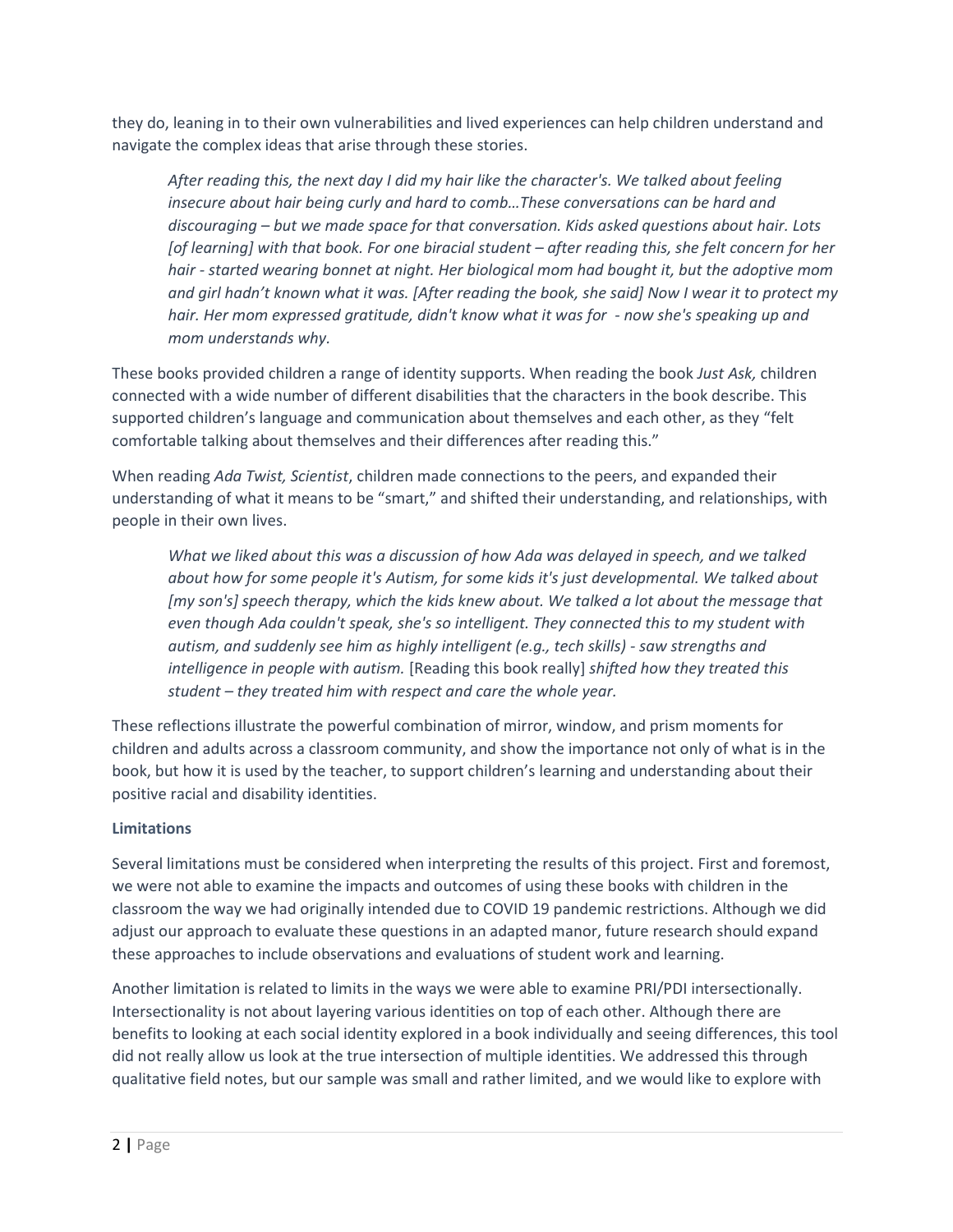they do, leaning in to their own vulnerabilities and lived experiences can help children understand and navigate the complex ideas that arise through these stories.

*After reading this, the next day I did my hair like the character's. We talked about feeling insecure about hair being curly and hard to comb…These conversations can be hard and discouraging – but we made space for that conversation. Kids asked questions about hair. Lots [of learning] with that book. For one biracial student – after reading this, she felt concern for her hair - started wearing bonnet at night. Her biological mom had bought it, but the adoptive mom and girl hadn't known what it was. [After reading the book, she said] Now I wear it to protect my hair. Her mom expressed gratitude, didn't know what it was for - now she's speaking up and mom understands why.*

These books provided children a range of identity supports. When reading the book *Just Ask,* children connected with a wide number of different disabilities that the characters in the book describe. This supported children's language and communication about themselves and each other, as they "felt comfortable talking about themselves and their differences after reading this."

When reading *Ada Twist, Scientist*, children made connections to the peers, and expanded their understanding of what it means to be "smart," and shifted their understanding, and relationships, with people in their own lives.

*What we liked about this was a discussion of how Ada was delayed in speech, and we talked about how for some people it's Autism, for some kids it's just developmental. We talked about [my son's] speech therapy, which the kids knew about. We talked a lot about the message that even though Ada couldn't speak, she's so intelligent. They connected this to my student with autism, and suddenly see him as highly intelligent (e.g., tech skills) - saw strengths and intelligence in people with autism.* [Reading this book really] *shifted how they treated this student – they treated him with respect and care the whole year.*

These reflections illustrate the powerful combination of mirror, window, and prism moments for children and adults across a classroom community, and show the importance not only of what is in the book, but how it is used by the teacher, to support children's learning and understanding about their positive racial and disability identities.

#### **Limitations**

Several limitations must be considered when interpreting the results of this project. First and foremost, we were not able to examine the impacts and outcomes of using these books with children in the classroom the way we had originally intended due to COVID 19 pandemic restrictions. Although we did adjust our approach to evaluate these questions in an adapted manor, future research should expand these approaches to include observations and evaluations of student work and learning.

Another limitation is related to limits in the ways we were able to examine PRI/PDI intersectionally. Intersectionality is not about layering various identities on top of each other. Although there are benefits to looking at each social identity explored in a book individually and seeing differences, this tool did not really allow us look at the true intersection of multiple identities. We addressed this through qualitative field notes, but our sample was small and rather limited, and we would like to explore with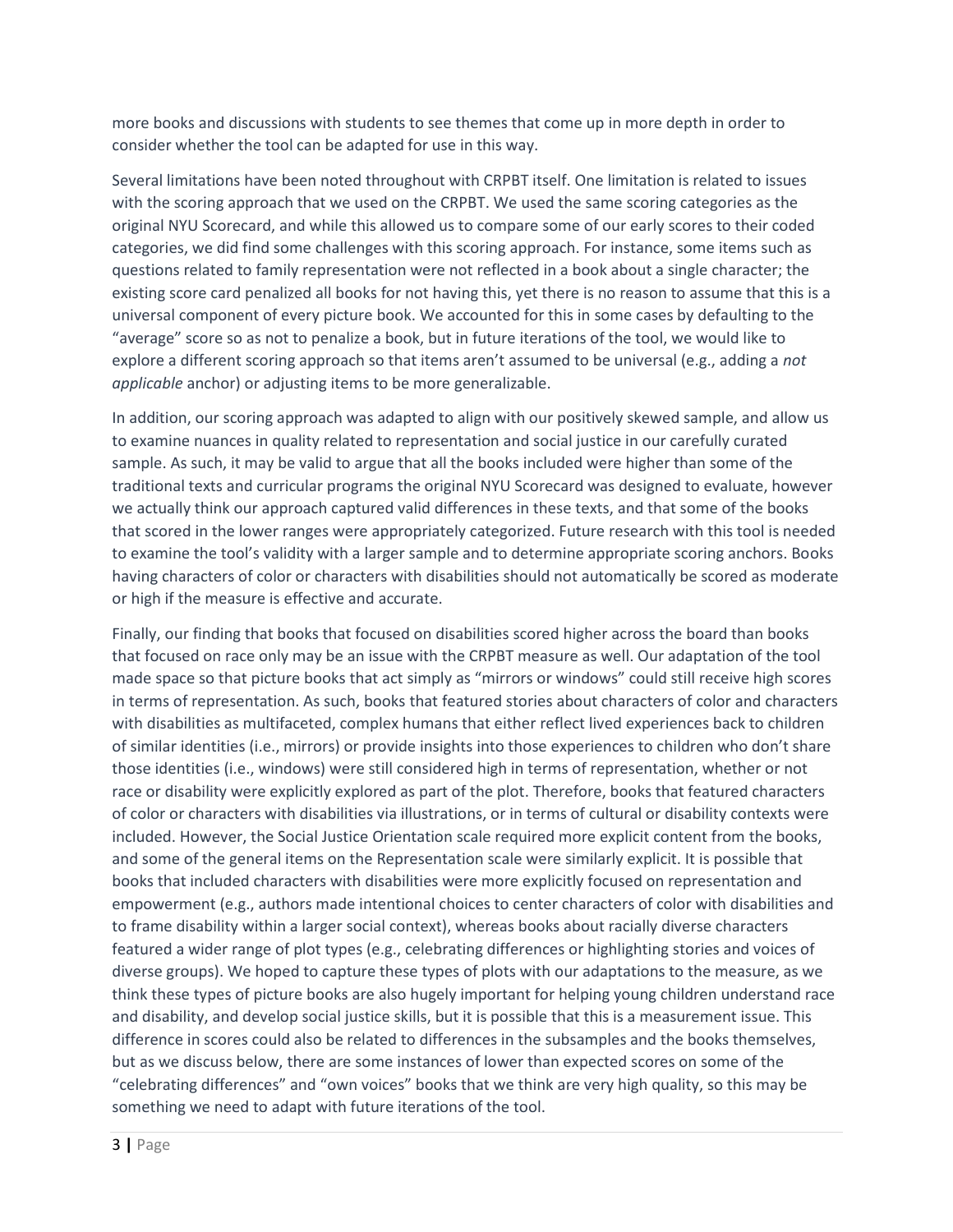more books and discussions with students to see themes that come up in more depth in order to consider whether the tool can be adapted for use in this way.

Several limitations have been noted throughout with CRPBT itself. One limitation is related to issues with the scoring approach that we used on the CRPBT. We used the same scoring categories as the original NYU Scorecard, and while this allowed us to compare some of our early scores to their coded categories, we did find some challenges with this scoring approach. For instance, some items such as questions related to family representation were not reflected in a book about a single character; the existing score card penalized all books for not having this, yet there is no reason to assume that this is a universal component of every picture book. We accounted for this in some cases by defaulting to the "average" score so as not to penalize a book, but in future iterations of the tool, we would like to explore a different scoring approach so that items aren't assumed to be universal (e.g., adding a *not applicable* anchor) or adjusting items to be more generalizable.

In addition, our scoring approach was adapted to align with our positively skewed sample, and allow us to examine nuances in quality related to representation and social justice in our carefully curated sample. As such, it may be valid to argue that all the books included were higher than some of the traditional texts and curricular programs the original NYU Scorecard was designed to evaluate, however we actually think our approach captured valid differences in these texts, and that some of the books that scored in the lower ranges were appropriately categorized. Future research with this tool is needed to examine the tool's validity with a larger sample and to determine appropriate scoring anchors. Books having characters of color or characters with disabilities should not automatically be scored as moderate or high if the measure is effective and accurate.

Finally, our finding that books that focused on disabilities scored higher across the board than books that focused on race only may be an issue with the CRPBT measure as well. Our adaptation of the tool made space so that picture books that act simply as "mirrors or windows" could still receive high scores in terms of representation. As such, books that featured stories about characters of color and characters with disabilities as multifaceted, complex humans that either reflect lived experiences back to children of similar identities (i.e., mirrors) or provide insights into those experiences to children who don't share those identities (i.e., windows) were still considered high in terms of representation, whether or not race or disability were explicitly explored as part of the plot. Therefore, books that featured characters of color or characters with disabilities via illustrations, or in terms of cultural or disability contexts were included. However, the Social Justice Orientation scale required more explicit content from the books, and some of the general items on the Representation scale were similarly explicit. It is possible that books that included characters with disabilities were more explicitly focused on representation and empowerment (e.g., authors made intentional choices to center characters of color with disabilities and to frame disability within a larger social context), whereas books about racially diverse characters featured a wider range of plot types (e.g., celebrating differences or highlighting stories and voices of diverse groups). We hoped to capture these types of plots with our adaptations to the measure, as we think these types of picture books are also hugely important for helping young children understand race and disability, and develop social justice skills, but it is possible that this is a measurement issue. This difference in scores could also be related to differences in the subsamples and the books themselves, but as we discuss below, there are some instances of lower than expected scores on some of the "celebrating differences" and "own voices" books that we think are very high quality, so this may be something we need to adapt with future iterations of the tool.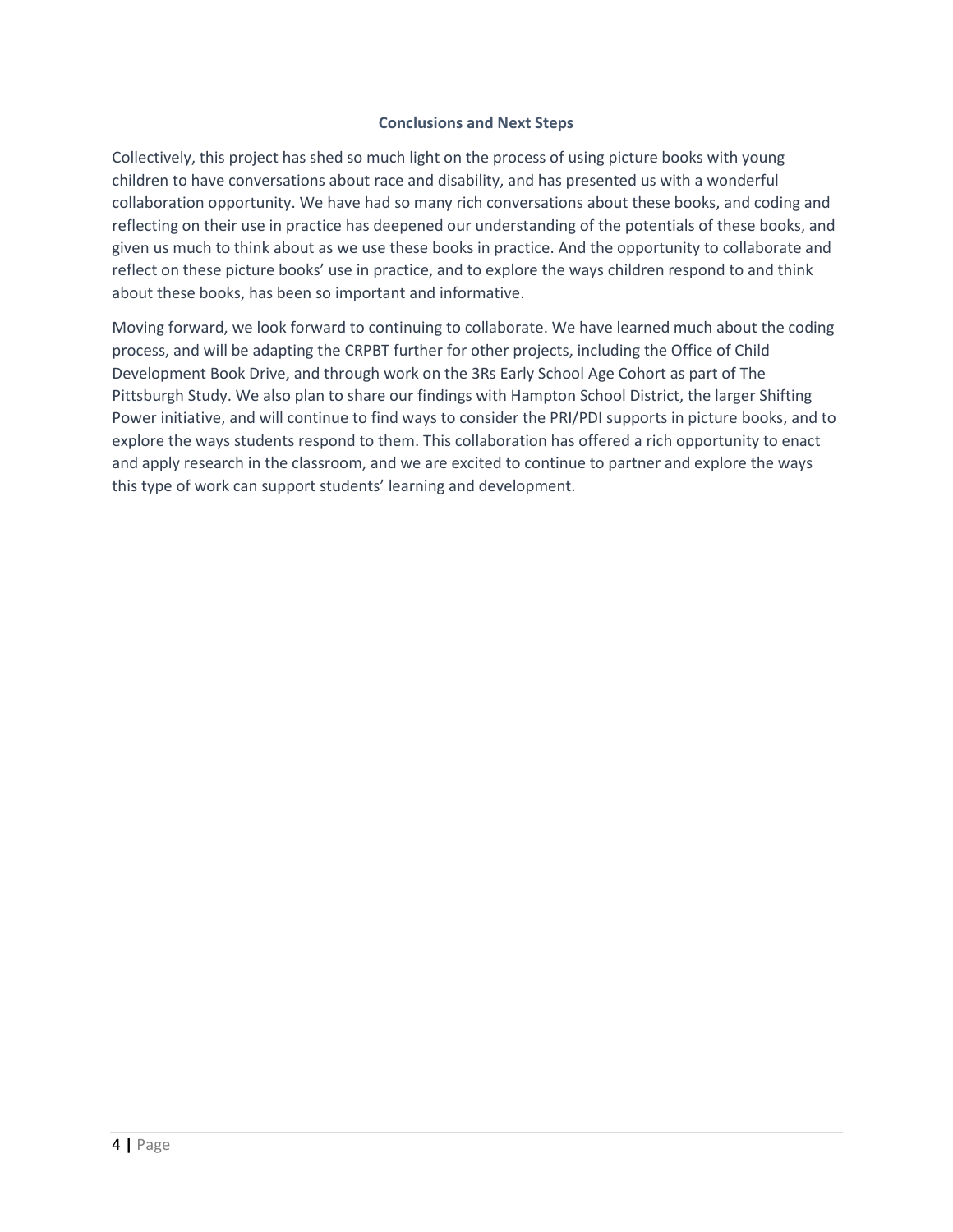#### **Conclusions and Next Steps**

Collectively, this project has shed so much light on the process of using picture books with young children to have conversations about race and disability, and has presented us with a wonderful collaboration opportunity. We have had so many rich conversations about these books, and coding and reflecting on their use in practice has deepened our understanding of the potentials of these books, and given us much to think about as we use these books in practice. And the opportunity to collaborate and reflect on these picture books' use in practice, and to explore the ways children respond to and think about these books, has been so important and informative.

Moving forward, we look forward to continuing to collaborate. We have learned much about the coding process, and will be adapting the CRPBT further for other projects, including the Office of Child Development Book Drive, and through work on the 3Rs Early School Age Cohort as part of The Pittsburgh Study. We also plan to share our findings with Hampton School District, the larger Shifting Power initiative, and will continue to find ways to consider the PRI/PDI supports in picture books, and to explore the ways students respond to them. This collaboration has offered a rich opportunity to enact and apply research in the classroom, and we are excited to continue to partner and explore the ways this type of work can support students' learning and development.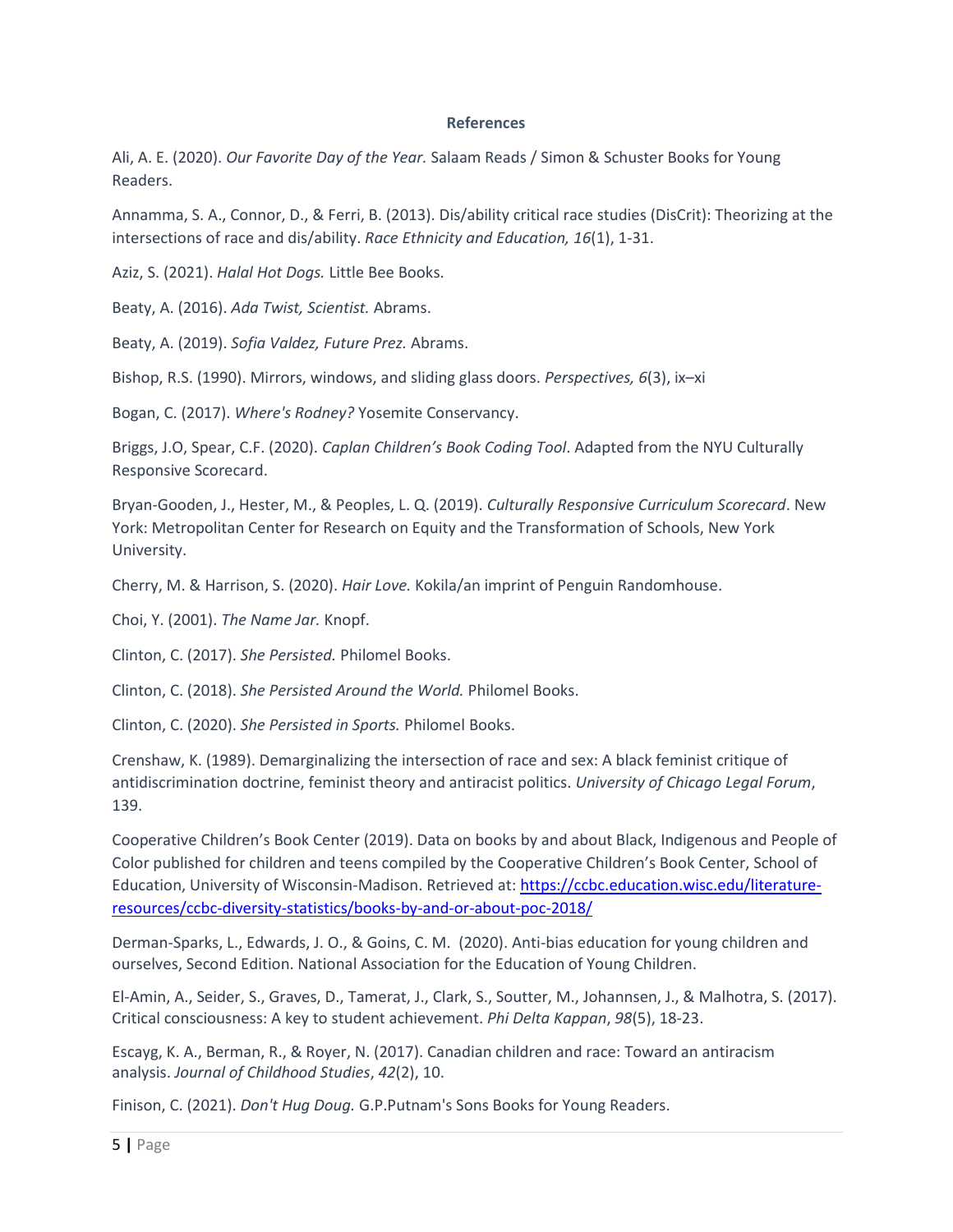#### **References**

Ali, A. E. (2020). *Our Favorite Day of the Year.* Salaam Reads / Simon & Schuster Books for Young Readers.

Annamma, S. A., Connor, D., & Ferri, B. (2013). Dis/ability critical race studies (DisCrit): Theorizing at the intersections of race and dis/ability. *Race Ethnicity and Education, 16*(1), 1-31.

Aziz, S. (2021). *Halal Hot Dogs.* Little Bee Books.

Beaty, A. (2016). *Ada Twist, Scientist.* Abrams.

Beaty, A. (2019). *Sofia Valdez, Future Prez.* Abrams.

Bishop, R.S. (1990). Mirrors, windows, and sliding glass doors. *Perspectives, 6*(3), ix–xi

Bogan, C. (2017). *Where's Rodney?* Yosemite Conservancy.

Briggs, J.O, Spear, C.F. (2020). *Caplan Children's Book Coding Tool*. Adapted from the NYU Culturally Responsive Scorecard.

Bryan-Gooden, J., Hester, M., & Peoples, L. Q. (2019). *Culturally Responsive Curriculum Scorecard*. New York: Metropolitan Center for Research on Equity and the Transformation of Schools, New York University.

Cherry, M. & Harrison, S. (2020). *Hair Love.* Kokila/an imprint of Penguin Randomhouse.

Choi, Y. (2001). *The Name Jar.* Knopf.

Clinton, C. (2017). *She Persisted.* Philomel Books.

Clinton, C. (2018). *She Persisted Around the World.* Philomel Books.

Clinton, C. (2020). *She Persisted in Sports.* Philomel Books.

Crenshaw, K. (1989). Demarginalizing the intersection of race and sex: A black feminist critique of antidiscrimination doctrine, feminist theory and antiracist politics. *University of Chicago Legal Forum*, 139.

Cooperative Children's Book Center (2019). Data on books by and about Black, Indigenous and People of Color published for children and teens compiled by the Cooperative Children's Book Center, School of Education, University of Wisconsin-Madison. Retrieved at: [https://ccbc.education.wisc.edu/literature](https://ccbc.education.wisc.edu/literature-resources/ccbc-diversity-statistics/books-by-and-or-about-poc-2018/)[resources/ccbc-diversity-statistics/books-by-and-or-about-poc-2018/](https://ccbc.education.wisc.edu/literature-resources/ccbc-diversity-statistics/books-by-and-or-about-poc-2018/)

Derman-Sparks, L., Edwards, J. O., & Goins, C. M. (2020). Anti-bias education for young children and ourselves, Second Edition. National Association for the Education of Young Children.

El-Amin, A., Seider, S., Graves, D., Tamerat, J., Clark, S., Soutter, M., Johannsen, J., & Malhotra, S. (2017). Critical consciousness: A key to student achievement. *Phi Delta Kappan*, *98*(5), 18-23.

Escayg, K. A., Berman, R., & Royer, N. (2017). Canadian children and race: Toward an antiracism analysis. *Journal of Childhood Studies*, *42*(2), 10.

Finison, C. (2021). *Don't Hug Doug.* G.P.Putnam's Sons Books for Young Readers.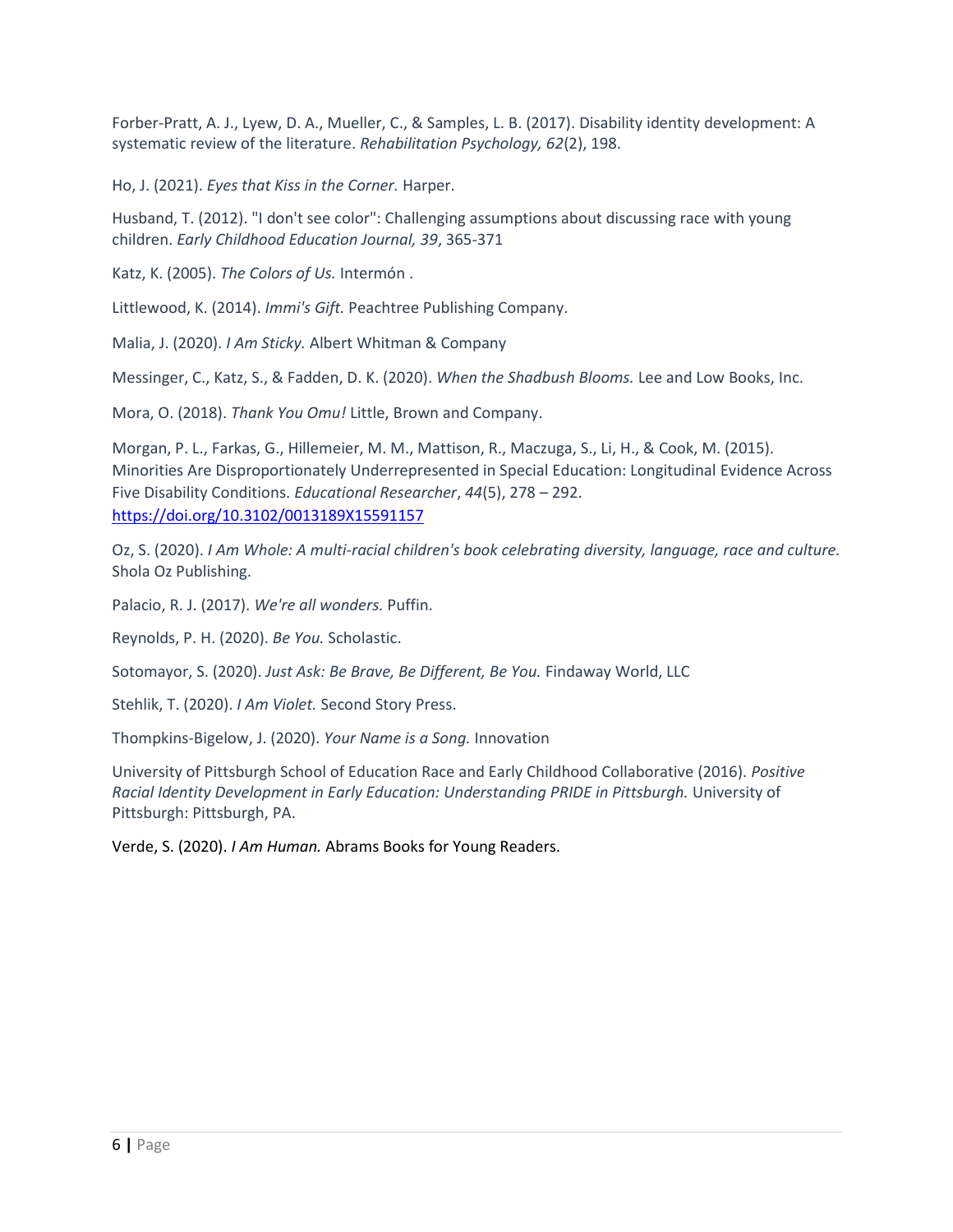Forber-Pratt, A. J., Lyew, D. A., Mueller, C., & Samples, L. B. (2017). Disability identity development: A systematic review of the literature. *Rehabilitation Psychology, 62*(2), 198.

Ho, J. (2021). *Eyes that Kiss in the Corner.* Harper.

Husband, T. (2012). "I don't see color": Challenging assumptions about discussing race with young children. *Early Childhood Education Journal, 39*, 365-371

Katz, K. (2005). *The Colors of Us.* Intermón .

Littlewood, K. (2014). *Immi's Gift.* Peachtree Publishing Company.

Malia, J. (2020). *I Am Sticky.* Albert Whitman & Company

Messinger, C., Katz, S., & Fadden, D. K. (2020). *When the Shadbush Blooms.* Lee and Low Books, Inc.

Mora, O. (2018). *Thank You Omu!* Little, Brown and Company.

Morgan, P. L., Farkas, G., Hillemeier, M. M., Mattison, R., Maczuga, S., Li, H., & Cook, M. (2015). Minorities Are Disproportionately Underrepresented in Special Education: Longitudinal Evidence Across Five Disability Conditions. *Educational Researcher*, *44*(5), 278 – 292. <https://doi.org/10.3102/0013189X15591157>

Oz, S. (2020). *I Am Whole: A multi-racial children's book celebrating diversity, language, race and culture.* Shola Oz Publishing.

Palacio, R. J. (2017). *We're all wonders.* Puffin.

Reynolds, P. H. (2020). *Be You.* Scholastic.

Sotomayor, S. (2020). *Just Ask: Be Brave, Be Different, Be You.* Findaway World, LLC

Stehlik, T. (2020). *I Am Violet.* Second Story Press.

Thompkins-Bigelow, J. (2020). *Your Name is a Song.* Innovation

University of Pittsburgh School of Education Race and Early Childhood Collaborative (2016). *Positive Racial Identity Development in Early Education: Understanding PRIDE in Pittsburgh.* University of Pittsburgh: Pittsburgh, PA.

Verde, S. (2020). *I Am Human.* Abrams Books for Young Readers.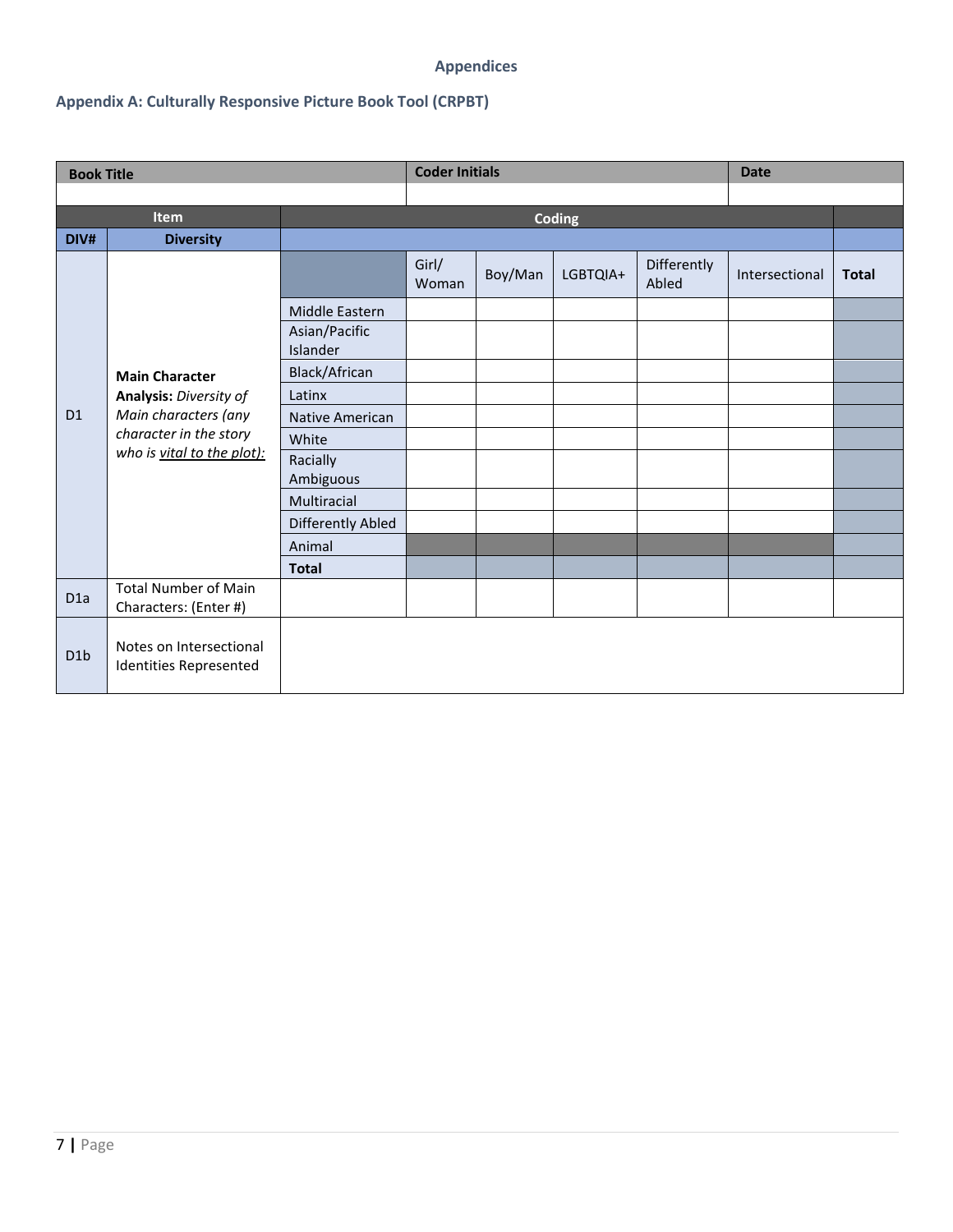### **Appendices**

## **Appendix A: Culturally Responsive Picture Book Tool (CRPBT)**

| <b>Book Title</b> |                                                      |                                 | <b>Coder Initials</b> |         |          |                      | <b>Date</b>    |              |
|-------------------|------------------------------------------------------|---------------------------------|-----------------------|---------|----------|----------------------|----------------|--------------|
|                   |                                                      |                                 |                       |         |          |                      |                |              |
| Item              |                                                      |                                 |                       |         | Coding   |                      |                |              |
| DIV#              | <b>Diversity</b>                                     |                                 |                       |         |          |                      |                |              |
|                   |                                                      |                                 | Girl/<br>Woman        | Boy/Man | LGBTQIA+ | Differently<br>Abled | Intersectional | <b>Total</b> |
|                   |                                                      | Middle Eastern<br>Asian/Pacific |                       |         |          |                      |                |              |
|                   | <b>Main Character</b>                                | Islander<br>Black/African       |                       |         |          |                      |                |              |
|                   | Analysis: Diversity of                               | Latinx                          |                       |         |          |                      |                |              |
| D <sub>1</sub>    | Main characters (any                                 | <b>Native American</b>          |                       |         |          |                      |                |              |
|                   | character in the story                               | White                           |                       |         |          |                      |                |              |
|                   | who is vital to the plot):                           | Racially<br>Ambiguous           |                       |         |          |                      |                |              |
|                   |                                                      | Multiracial                     |                       |         |          |                      |                |              |
|                   |                                                      | Differently Abled               |                       |         |          |                      |                |              |
|                   |                                                      | Animal                          |                       |         |          |                      |                |              |
|                   |                                                      | <b>Total</b>                    |                       |         |          |                      |                |              |
| D <sub>1</sub> a  | <b>Total Number of Main</b><br>Characters: (Enter #) |                                 |                       |         |          |                      |                |              |
| D1b               | Notes on Intersectional<br>Identities Represented    |                                 |                       |         |          |                      |                |              |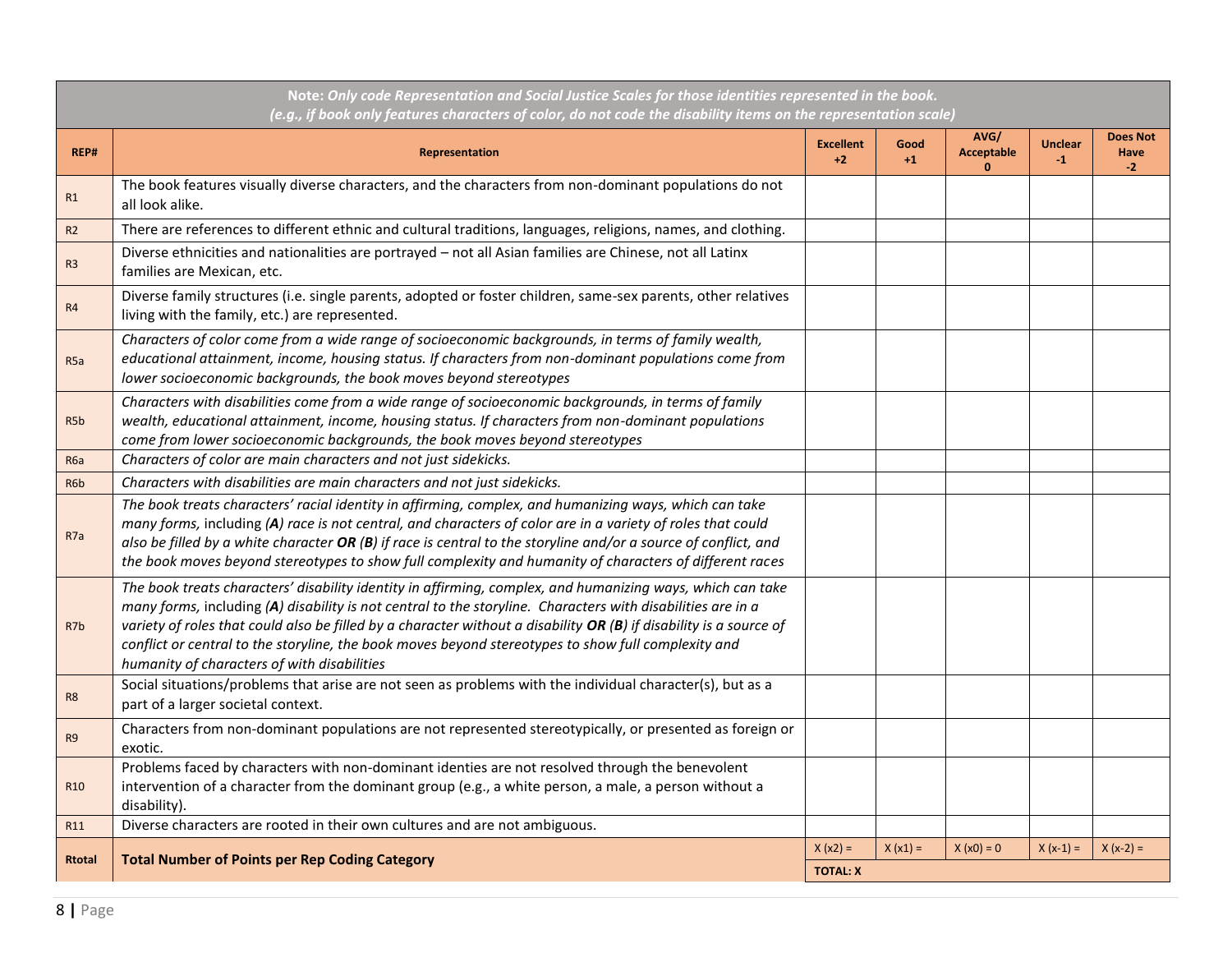|                  | Note: Only code Representation and Social Justice Scales for those identities represented in the book.<br>(e.g., if book only features characters of color, do not code the disability items on the representation scale)                                                                                                                                                                                                                                                                               |                               |              |                                           |                        |                                 |
|------------------|---------------------------------------------------------------------------------------------------------------------------------------------------------------------------------------------------------------------------------------------------------------------------------------------------------------------------------------------------------------------------------------------------------------------------------------------------------------------------------------------------------|-------------------------------|--------------|-------------------------------------------|------------------------|---------------------------------|
| REP#             | Representation                                                                                                                                                                                                                                                                                                                                                                                                                                                                                          | <b>Excellent</b><br>$+2$      | Good<br>$+1$ | AVG/<br><b>Acceptable</b><br>$\mathbf{0}$ | <b>Unclear</b><br>$-1$ | <b>Does Not</b><br>Have<br>$-2$ |
| R1               | The book features visually diverse characters, and the characters from non-dominant populations do not<br>all look alike.                                                                                                                                                                                                                                                                                                                                                                               |                               |              |                                           |                        |                                 |
| R <sub>2</sub>   | There are references to different ethnic and cultural traditions, languages, religions, names, and clothing.                                                                                                                                                                                                                                                                                                                                                                                            |                               |              |                                           |                        |                                 |
| R <sub>3</sub>   | Diverse ethnicities and nationalities are portrayed - not all Asian families are Chinese, not all Latinx<br>families are Mexican, etc.                                                                                                                                                                                                                                                                                                                                                                  |                               |              |                                           |                        |                                 |
| R <sub>4</sub>   | Diverse family structures (i.e. single parents, adopted or foster children, same-sex parents, other relatives<br>living with the family, etc.) are represented.                                                                                                                                                                                                                                                                                                                                         |                               |              |                                           |                        |                                 |
| R <sub>5a</sub>  | Characters of color come from a wide range of socioeconomic backgrounds, in terms of family wealth,<br>educational attainment, income, housing status. If characters from non-dominant populations come from<br>lower socioeconomic backgrounds, the book moves beyond stereotypes                                                                                                                                                                                                                      |                               |              |                                           |                        |                                 |
| R <sub>5</sub> b | Characters with disabilities come from a wide range of socioeconomic backgrounds, in terms of family<br>wealth, educational attainment, income, housing status. If characters from non-dominant populations<br>come from lower socioeconomic backgrounds, the book moves beyond stereotypes                                                                                                                                                                                                             |                               |              |                                           |                        |                                 |
| R <sub>6</sub> a | Characters of color are main characters and not just sidekicks.                                                                                                                                                                                                                                                                                                                                                                                                                                         |                               |              |                                           |                        |                                 |
| R <sub>6</sub> b | Characters with disabilities are main characters and not just sidekicks.                                                                                                                                                                                                                                                                                                                                                                                                                                |                               |              |                                           |                        |                                 |
| R <sub>7</sub> a | The book treats characters' racial identity in affirming, complex, and humanizing ways, which can take<br>many forms, including (A) race is not central, and characters of color are in a variety of roles that could<br>also be filled by a white character $OR(B)$ if race is central to the storyline and/or a source of conflict, and<br>the book moves beyond stereotypes to show full complexity and humanity of characters of different races                                                    |                               |              |                                           |                        |                                 |
| R7b              | The book treats characters' disability identity in affirming, complex, and humanizing ways, which can take<br>many forms, including (A) disability is not central to the storyline. Characters with disabilities are in a<br>variety of roles that could also be filled by a character without a disability OR $(B)$ if disability is a source of<br>conflict or central to the storyline, the book moves beyond stereotypes to show full complexity and<br>humanity of characters of with disabilities |                               |              |                                           |                        |                                 |
| R <sub>8</sub>   | Social situations/problems that arise are not seen as problems with the individual character(s), but as a<br>part of a larger societal context.                                                                                                                                                                                                                                                                                                                                                         |                               |              |                                           |                        |                                 |
| R <sub>9</sub>   | Characters from non-dominant populations are not represented stereotypically, or presented as foreign or<br>exotic.                                                                                                                                                                                                                                                                                                                                                                                     |                               |              |                                           |                        |                                 |
| R <sub>10</sub>  | Problems faced by characters with non-dominant identies are not resolved through the benevolent<br>intervention of a character from the dominant group (e.g., a white person, a male, a person without a<br>disability).                                                                                                                                                                                                                                                                                |                               |              |                                           |                        |                                 |
| R11              | Diverse characters are rooted in their own cultures and are not ambiguous.                                                                                                                                                                                                                                                                                                                                                                                                                              |                               |              |                                           |                        |                                 |
| <b>Rtotal</b>    | <b>Total Number of Points per Rep Coding Category</b>                                                                                                                                                                                                                                                                                                                                                                                                                                                   | $X (x2) =$<br><b>TOTAL: X</b> | $X(x1) =$    | $X(x0) = 0$                               | $X(x-1) =$             | $X(x-2) =$                      |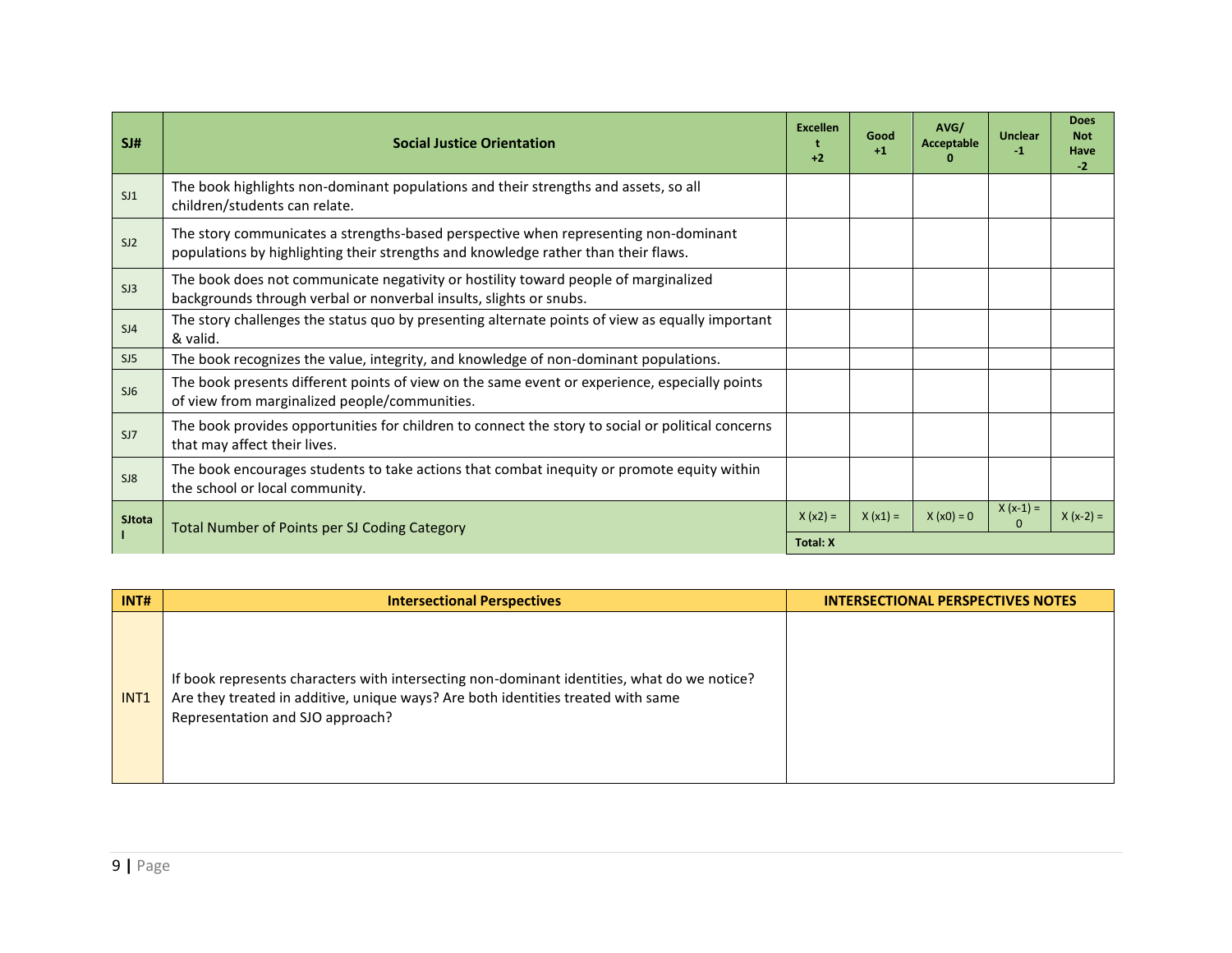| SI#    | <b>Social Justice Orientation</b>                                                                                                                                         | <b>Excellen</b><br>$+2$ | Good<br>$+1$ | AVG/<br>Acceptable | <b>Unclear</b><br>$-1$ | <b>Does</b><br><b>Not</b><br>Have<br>$-2$ |
|--------|---------------------------------------------------------------------------------------------------------------------------------------------------------------------------|-------------------------|--------------|--------------------|------------------------|-------------------------------------------|
| SJ1    | The book highlights non-dominant populations and their strengths and assets, so all<br>children/students can relate.                                                      |                         |              |                    |                        |                                           |
| SI2    | The story communicates a strengths-based perspective when representing non-dominant<br>populations by highlighting their strengths and knowledge rather than their flaws. |                         |              |                    |                        |                                           |
| SJ3    | The book does not communicate negativity or hostility toward people of marginalized<br>backgrounds through verbal or nonverbal insults, slights or snubs.                 |                         |              |                    |                        |                                           |
| SJ4    | The story challenges the status quo by presenting alternate points of view as equally important<br>& valid.                                                               |                         |              |                    |                        |                                           |
| SJ5    | The book recognizes the value, integrity, and knowledge of non-dominant populations.                                                                                      |                         |              |                    |                        |                                           |
| SJ6    | The book presents different points of view on the same event or experience, especially points<br>of view from marginalized people/communities.                            |                         |              |                    |                        |                                           |
| SJ7    | The book provides opportunities for children to connect the story to social or political concerns<br>that may affect their lives.                                         |                         |              |                    |                        |                                           |
| S18    | The book encourages students to take actions that combat inequity or promote equity within<br>the school or local community.                                              |                         |              |                    |                        |                                           |
| SJtota | Total Number of Points per SJ Coding Category                                                                                                                             | $X(x2) =$               | $X(x1) =$    | $X(x0) = 0$        | $X(x-1) =$<br>$\Omega$ | $X(x-2) =$                                |
|        |                                                                                                                                                                           |                         |              |                    |                        |                                           |

| INT#             | <b>Intersectional Perspectives</b>                                                                                                                                                                                  | <b>INTERSECTIONAL PERSPECTIVES NOTES</b> |
|------------------|---------------------------------------------------------------------------------------------------------------------------------------------------------------------------------------------------------------------|------------------------------------------|
| INT <sub>1</sub> | If book represents characters with intersecting non-dominant identities, what do we notice?<br>Are they treated in additive, unique ways? Are both identities treated with same<br>Representation and SJO approach? |                                          |